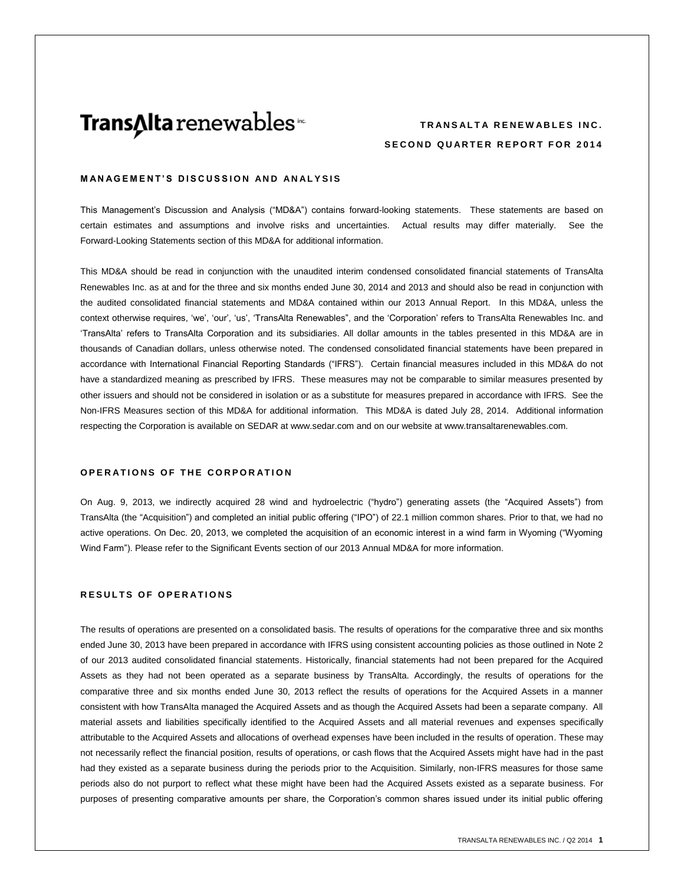# **Trans∆lta** renewables<sup>™</sup>

# **TRANSALTA RENEWABLES INC. SECOND QUARTER REPORT FOR 2014**

# **MANAGEMENT'S DISCUSSION AND ANALYSIS**

This Management's Discussion and Analysis ("MD&A") contains forward-looking statements. These statements are based on certain estimates and assumptions and involve risks and uncertainties. Actual results may differ materially. See the Forward-Looking Statements section of this MD&A for additional information.

This MD&A should be read in conjunction with the unaudited interim condensed consolidated financial statements of TransAlta Renewables Inc. as at and for the three and six months ended June 30, 2014 and 2013 and should also be read in conjunction with the audited consolidated financial statements and MD&A contained within our 2013 Annual Report. In this MD&A, unless the context otherwise requires, 'we', 'our', 'us', 'TransAlta Renewables", and the 'Corporation' refers to TransAlta Renewables Inc. and 'TransAlta' refers to TransAlta Corporation and its subsidiaries. All dollar amounts in the tables presented in this MD&A are in thousands of Canadian dollars, unless otherwise noted. The condensed consolidated financial statements have been prepared in accordance with International Financial Reporting Standards ("IFRS"). Certain financial measures included in this MD&A do not have a standardized meaning as prescribed by IFRS. These measures may not be comparable to similar measures presented by other issuers and should not be considered in isolation or as a substitute for measures prepared in accordance with IFRS. See the Non-IFRS Measures section of this MD&A for additional information. This MD&A is dated July 28, 2014. Additional information respecting the Corporation is available on SEDAR at [www.sedar.com](http://www.sedar.com/) and on our website at www.transaltarenewables.com.

## **OPERATIONS OF THE CORPORATION**

On Aug. 9, 2013, we indirectly acquired 28 wind and hydroelectric ("hydro") generating assets (the "Acquired Assets") from TransAlta (the "Acquisition") and completed an initial public offering ("IPO") of 22.1 million common shares. Prior to that, we had no active operations. On Dec. 20, 2013, we completed the acquisition of an economic interest in a wind farm in Wyoming ("Wyoming Wind Farm"). Please refer to the Significant Events section of our 2013 Annual MD&A for more information.

# **RESULTS OF OPERATIONS**

The results of operations are presented on a consolidated basis. The results of operations for the comparative three and six months ended June 30, 2013 have been prepared in accordance with IFRS using consistent accounting policies as those outlined in Note 2 of our 2013 audited consolidated financial statements. Historically, financial statements had not been prepared for the Acquired Assets as they had not been operated as a separate business by TransAlta. Accordingly, the results of operations for the comparative three and six months ended June 30, 2013 reflect the results of operations for the Acquired Assets in a manner consistent with how TransAlta managed the Acquired Assets and as though the Acquired Assets had been a separate company. All material assets and liabilities specifically identified to the Acquired Assets and all material revenues and expenses specifically attributable to the Acquired Assets and allocations of overhead expenses have been included in the results of operation. These may not necessarily reflect the financial position, results of operations, or cash flows that the Acquired Assets might have had in the past had they existed as a separate business during the periods prior to the Acquisition. Similarly, non-IFRS measures for those same periods also do not purport to reflect what these might have been had the Acquired Assets existed as a separate business. For purposes of presenting comparative amounts per share, the Corporation's common shares issued under its initial public offering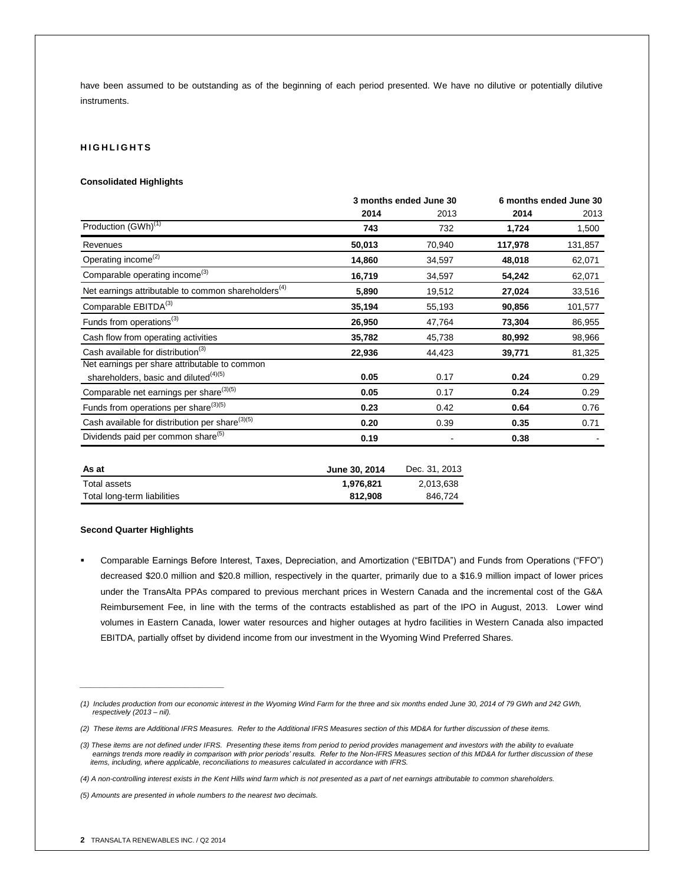have been assumed to be outstanding as of the beginning of each period presented. We have no dilutive or potentially dilutive instruments.

# **H I G H L I G H T S**

## **Consolidated Highlights**

| 3 months ended June 30 |        | 6 months ended June 30 |         |
|------------------------|--------|------------------------|---------|
| 2014                   | 2013   | 2014                   | 2013    |
| 743                    | 732    | 1,724                  | 1,500   |
| 50,013                 | 70,940 | 117,978                | 131,857 |
| 14,860                 | 34,597 | 48,018                 | 62,071  |
| 16,719                 | 34,597 | 54,242                 | 62,071  |
| 5,890                  | 19,512 | 27,024                 | 33,516  |
| 35,194                 | 55,193 | 90,856                 | 101,577 |
| 26,950                 | 47,764 | 73,304                 | 86,955  |
| 35,782                 | 45,738 | 80,992                 | 98,966  |
| 22,936                 | 44,423 | 39,771                 | 81,325  |
|                        |        |                        |         |
| 0.05                   | 0.17   | 0.24                   | 0.29    |
| 0.05                   | 0.17   | 0.24                   | 0.29    |
| 0.23                   | 0.42   | 0.64                   | 0.76    |
| 0.20                   | 0.39   | 0.35                   | 0.71    |
| 0.19                   |        | 0.38                   |         |
|                        |        |                        |         |

| As at                       | June 30, 2014 | Dec. 31, 2013 |
|-----------------------------|---------------|---------------|
| Total assets                | 1.976.821     | 2.013.638     |
| Total long-term liabilities | 812.908       | 846.724       |

#### **Second Quarter Highlights**

 Comparable Earnings Before Interest, Taxes, Depreciation, and Amortization ("EBITDA") and Funds from Operations ("FFO") decreased \$20.0 million and \$20.8 million, respectively in the quarter, primarily due to a \$16.9 million impact of lower prices under the TransAlta PPAs compared to previous merchant prices in Western Canada and the incremental cost of the G&A Reimbursement Fee, in line with the terms of the contracts established as part of the IPO in August, 2013. Lower wind volumes in Eastern Canada, lower water resources and higher outages at hydro facilities in Western Canada also impacted EBITDA, partially offset by dividend income from our investment in the Wyoming Wind Preferred Shares.

*\_\_\_\_\_\_\_\_\_\_\_\_\_\_\_\_\_\_\_\_\_\_\_\_\_\_\_\_\_*

*<sup>(1)</sup> Includes production from our economic interest in the Wyoming Wind Farm for the three and six months ended June 30, 2014 of 79 GWh and 242 GWh, respectively (2013 – nil).*

*<sup>(2)</sup> These items are Additional IFRS Measures. Refer to the Additional IFRS Measures section of this MD&A for further discussion of these items.*

*<sup>(3)</sup> These items are not defined under IFRS. Presenting these items from period to period provides management and investors with the ability to evaluate*  earnings trends more readily in comparison with prior periods' results. Refer to the Non-IFRS Measures section of this MD&A for further discussion of these<br>items, including, where applicable, reconciliations to measures ca

*<sup>(4)</sup> A non-controlling interest exists in the Kent Hills wind farm which is not presented as a part of net earnings attributable to common shareholders.*

*<sup>(5)</sup> Amounts are presented in whole numbers to the nearest two decimals.*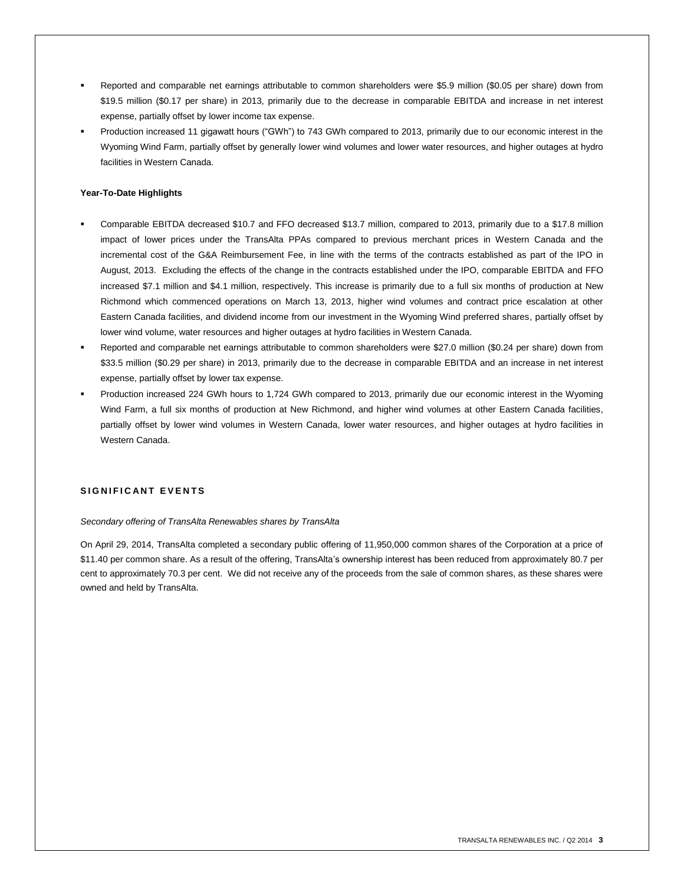- Reported and comparable net earnings attributable to common shareholders were \$5.9 million (\$0.05 per share) down from \$19.5 million (\$0.17 per share) in 2013, primarily due to the decrease in comparable EBITDA and increase in net interest expense, partially offset by lower income tax expense.
- Production increased 11 gigawatt hours ("GWh") to 743 GWh compared to 2013, primarily due to our economic interest in the Wyoming Wind Farm, partially offset by generally lower wind volumes and lower water resources, and higher outages at hydro facilities in Western Canada.

# **Year-To-Date Highlights**

- Comparable EBITDA decreased \$10.7 and FFO decreased \$13.7 million, compared to 2013, primarily due to a \$17.8 million impact of lower prices under the TransAlta PPAs compared to previous merchant prices in Western Canada and the incremental cost of the G&A Reimbursement Fee, in line with the terms of the contracts established as part of the IPO in August, 2013. Excluding the effects of the change in the contracts established under the IPO, comparable EBITDA and FFO increased \$7.1 million and \$4.1 million, respectively. This increase is primarily due to a full six months of production at New Richmond which commenced operations on March 13, 2013, higher wind volumes and contract price escalation at other Eastern Canada facilities, and dividend income from our investment in the Wyoming Wind preferred shares, partially offset by lower wind volume, water resources and higher outages at hydro facilities in Western Canada.
- Reported and comparable net earnings attributable to common shareholders were \$27.0 million (\$0.24 per share) down from \$33.5 million (\$0.29 per share) in 2013, primarily due to the decrease in comparable EBITDA and an increase in net interest expense, partially offset by lower tax expense.
- Production increased 224 GWh hours to 1,724 GWh compared to 2013, primarily due our economic interest in the Wyoming Wind Farm, a full six months of production at New Richmond, and higher wind volumes at other Eastern Canada facilities, partially offset by lower wind volumes in Western Canada, lower water resources, and higher outages at hydro facilities in Western Canada.

# **S I G N I F I C A N T E V E N T S**

# *Secondary offering of TransAlta Renewables shares by TransAlta*

On April 29, 2014, TransAlta completed a secondary public offering of 11,950,000 common shares of the Corporation at a price of \$11.40 per common share. As a result of the offering, TransAlta's ownership interest has been reduced from approximately 80.7 per cent to approximately 70.3 per cent. We did not receive any of the proceeds from the sale of common shares, as these shares were owned and held by TransAlta.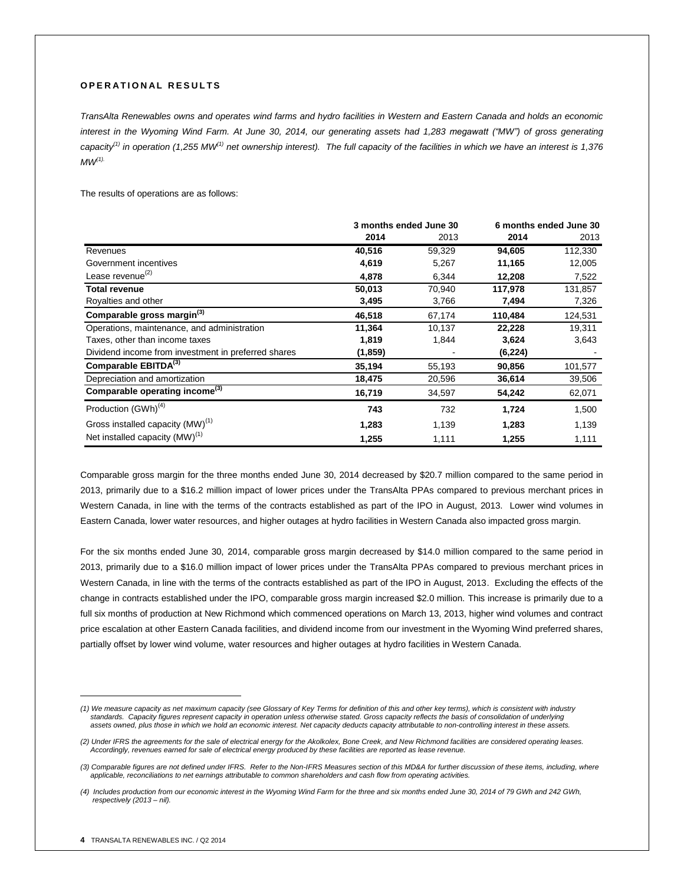# **O P E R A T I O N A L R E S U L T S**

*TransAlta Renewables owns and operates wind farms and hydro facilities in Western and Eastern Canada and holds an economic interest in the Wyoming Wind Farm. At June 30, 2014, our generating assets had 1,283 megawatt ("MW") of gross generating capacity(1) in operation (1,255 MW(1) net ownership interest). The full capacity of the facilities in which we have an interest is 1,376 MW(1).*

The results of operations are as follows:

|                                                     | 3 months ended June 30 |        |          | 6 months ended June 30 |
|-----------------------------------------------------|------------------------|--------|----------|------------------------|
|                                                     | 2014                   | 2013   | 2014     | 2013                   |
| Revenues                                            | 40,516                 | 59,329 | 94,605   | 112,330                |
| Government incentives                               | 4,619                  | 5,267  | 11,165   | 12,005                 |
| Lease revenue <sup>(2)</sup>                        | 4,878                  | 6,344  | 12,208   | 7,522                  |
| <b>Total revenue</b>                                | 50,013                 | 70,940 | 117,978  | 131,857                |
| Royalties and other                                 | 3,495                  | 3,766  | 7,494    | 7,326                  |
| Comparable gross margin <sup>(3)</sup>              | 46,518                 | 67,174 | 110,484  | 124,531                |
| Operations, maintenance, and administration         | 11,364                 | 10,137 | 22,228   | 19,311                 |
| Taxes, other than income taxes                      | 1,819                  | 1,844  | 3,624    | 3,643                  |
| Dividend income from investment in preferred shares | (1, 859)               |        | (6, 224) |                        |
| Comparable EBITDA(3)                                | 35,194                 | 55,193 | 90,856   | 101,577                |
| Depreciation and amortization                       | 18,475                 | 20,596 | 36,614   | 39,506                 |
| Comparable operating income <sup>(3)</sup>          | 16,719                 | 34,597 | 54,242   | 62,071                 |
| Production (GWh) <sup>(4)</sup>                     | 743                    | 732    | 1,724    | 1,500                  |
| Gross installed capacity (MW) <sup>(1)</sup>        | 1,283                  | 1,139  | 1,283    | 1,139                  |
| Net installed capacity $(MW)^{(1)}$                 | 1,255                  | 1,111  | 1,255    | 1,111                  |

Comparable gross margin for the three months ended June 30, 2014 decreased by \$20.7 million compared to the same period in 2013, primarily due to a \$16.2 million impact of lower prices under the TransAlta PPAs compared to previous merchant prices in Western Canada, in line with the terms of the contracts established as part of the IPO in August, 2013. Lower wind volumes in Eastern Canada, lower water resources, and higher outages at hydro facilities in Western Canada also impacted gross margin.

For the six months ended June 30, 2014, comparable gross margin decreased by \$14.0 million compared to the same period in 2013, primarily due to a \$16.0 million impact of lower prices under the TransAlta PPAs compared to previous merchant prices in Western Canada, in line with the terms of the contracts established as part of the IPO in August, 2013. Excluding the effects of the change in contracts established under the IPO, comparable gross margin increased \$2.0 million. This increase is primarily due to a full six months of production at New Richmond which commenced operations on March 13, 2013, higher wind volumes and contract price escalation at other Eastern Canada facilities, and dividend income from our investment in the Wyoming Wind preferred shares, partially offset by lower wind volume, water resources and higher outages at hydro facilities in Western Canada.

 $\overline{a}$ 

*<sup>(1)</sup> We measure capacity as net maximum capacity (see Glossary of Key Terms for definition of this and other key terms), which is consistent with industry standards. Capacity figures represent capacity in operation unless otherwise stated. Gross capacity reflects the basis of consolidation of underlying assets owned, plus those in which we hold an economic interest. Net capacity deducts capacity attributable to non-controlling interest in these assets.*

*<sup>(2)</sup> Under IFRS the agreements for the sale of electrical energy for the Akolkolex, Bone Creek, and New Richmond facilities are considered operating leases. Accordingly, revenues earned for sale of electrical energy produced by these facilities are reported as lease revenue.*

*<sup>(3)</sup> Comparable figures are not defined under IFRS. Refer to the Non-IFRS Measures section of this MD&A for further discussion of these items, including, where applicable, reconciliations to net earnings attributable to common shareholders and cash flow from operating activities.*

*<sup>(4)</sup> Includes production from our economic interest in the Wyoming Wind Farm for the three and six months ended June 30, 2014 of 79 GWh and 242 GWh, respectively (2013 – nil).*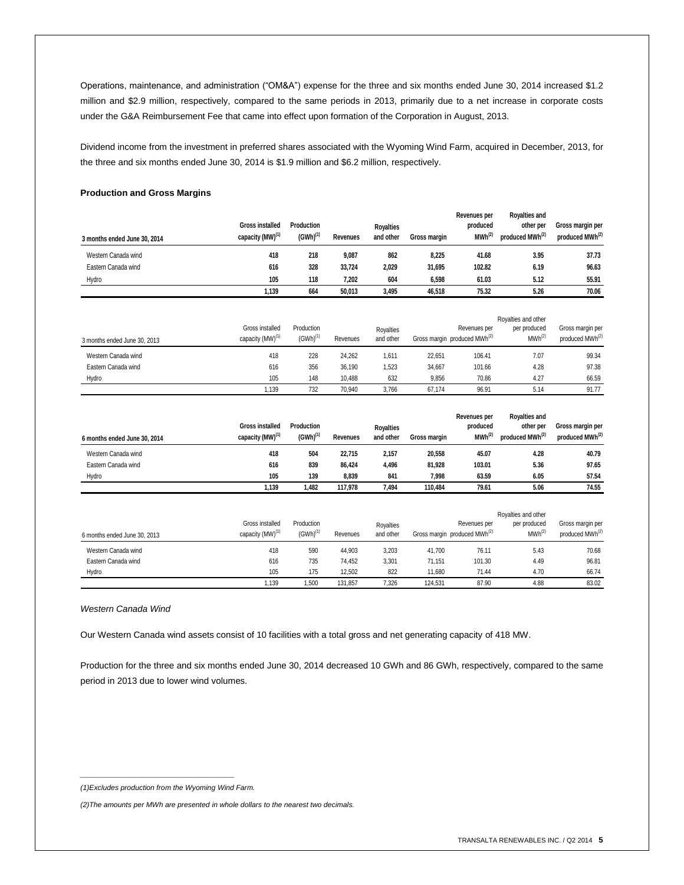Operations, maintenance, and administration ("OM&A") expense for the three and six months ended June 30, 2014 increased \$1.2 million and \$2.9 million, respectively, compared to the same periods in 2013, primarily due to a net increase in corporate costs under the G&A Reimbursement Fee that came into effect upon formation of the Corporation in August, 2013.

Dividend income from the investment in preferred shares associated with the Wyoming Wind Farm, acquired in December, 2013, for the three and six months ended June 30, 2014 is \$1.9 million and \$6.2 million, respectively.

**Revenues per** 

**Royalties and** 

# **Production and Gross Margins**

| 3 months ended June 30, 2014 | <b>Gross installed</b><br>capacity (MW) <sup>(1)</sup> | Production<br>$(GWh)^{(1)}$ | Revenues | <b>Royalties</b><br>and other | Gross margin | <b>INGAGIINGS NGI</b><br>produced<br>$MWh^{(2)}$         | <b>NUVAILIES AIIU</b><br>other per<br>produced MWh <sup>(2)</sup> | Gross margin per<br>produced MWh <sup>(2)</sup> |
|------------------------------|--------------------------------------------------------|-----------------------------|----------|-------------------------------|--------------|----------------------------------------------------------|-------------------------------------------------------------------|-------------------------------------------------|
| Western Canada wind          | 418                                                    | 218                         | 9,087    | 862                           | 8,225        | 41.68                                                    | 3.95                                                              | 37.73                                           |
| Eastern Canada wind          | 616                                                    | 328                         | 33,724   | 2,029                         | 31,695       | 102.82                                                   | 6.19                                                              | 96.63                                           |
| Hydro                        | 105                                                    | 118                         | 7,202    | 604                           | 6,598        | 61.03                                                    | 5.12                                                              | 55.91                                           |
|                              | 1,139                                                  | 664                         | 50,013   | 3,495                         | 46,518       | 75.32                                                    | 5.26                                                              | 70.06                                           |
| 3 months ended June 30, 2013 | Gross installed<br>capacity (MW) <sup>(1)</sup>        | Production<br>$(GWh)^{(1)}$ | Revenues | Royalties<br>and other        |              | Revenues per<br>Gross margin produced MWh <sup>(2)</sup> | Royalties and other<br>per produced<br>MWh <sup>(2)</sup>         | Gross margin per<br>produced MWh <sup>(2)</sup> |
| Western Canada wind          | 418                                                    | 228                         | 24,262   | 1,611                         | 22,651       | 106.41                                                   | 7.07                                                              | 99.34                                           |
| Eastern Canada wind          | 616                                                    | 356                         | 36,190   | 1,523                         | 34,667       | 101.66                                                   | 4.28                                                              | 97.38                                           |
| Hydro                        | 105                                                    | 148                         | 10,488   | 632                           | 9,856        | 70.86                                                    | 4.27                                                              | 66.59                                           |
|                              | 1,139                                                  | 732                         | 70,940   | 3,766                         | 67,174       | 96.91                                                    | 5.14                                                              | 91.77                                           |

| 6 months ended June 30, 2014 | <b>Gross installed</b><br>capacity (MW) <sup>(1)</sup> | Production<br>$(GWh)^{(1)}$ | Revenues | <b>Rovalties</b><br>and other | <b>Gross margin</b> | Revenues per<br>produced<br>$MWh^{(2)}$ | <b>Royalties and</b><br>other per<br>produced MWh <sup>(2)</sup> | Gross margin per<br>produced MWh <sup>(2)</sup> |
|------------------------------|--------------------------------------------------------|-----------------------------|----------|-------------------------------|---------------------|-----------------------------------------|------------------------------------------------------------------|-------------------------------------------------|
| Western Canada wind          | 418                                                    | 504                         | 22.715   | 2,157                         | 20.558              | 45.07                                   | 4.28                                                             | 40.79                                           |
| Eastern Canada wind          | 616                                                    | 839                         | 86.424   | 4,496                         | 81,928              | 103.01                                  | 5.36                                                             | 97.65                                           |
| Hydro                        | 105                                                    | 139                         | 8.839    | 841                           | 7.998               | 63.59                                   | 6.05                                                             | 57.54                                           |
|                              | 1,139                                                  | 1.482                       | 117.978  | 7.494                         | 110.484             | 79.61                                   | 5.06                                                             | 74.55                                           |

|                              |                                                 |                             |          | Royalties and other    |         |                                                          |                                    |                                                 |
|------------------------------|-------------------------------------------------|-----------------------------|----------|------------------------|---------|----------------------------------------------------------|------------------------------------|-------------------------------------------------|
| 6 months ended June 30, 2013 | Gross installed<br>capacity (MW) <sup>(1)</sup> | Production<br>$(GWh)^{(1)}$ | Revenues | Rovalties<br>and other |         | Revenues per<br>Gross margin produced MWh <sup>(2)</sup> | per produced<br>MWh <sup>(2)</sup> | Gross margin per<br>produced MWh <sup>(2)</sup> |
| Western Canada wind          | 418                                             | 590                         | 44.903   | 3,203                  | 41.700  | 76.11                                                    | 5.43                               | 70.68                                           |
| Eastern Canada wind          | 616                                             | 735                         | 74.452   | 3,301                  | 71.151  | 101.30                                                   | 4.49                               | 96.81                                           |
| Hydro                        | 105                                             | 175                         | 12.502   | 822                    | 11.680  | 71.44                                                    | 4.70                               | 66.74                                           |
|                              | .139                                            | 1.500                       | 131.857  | 7.326                  | 124.531 | 87.90                                                    | 4.88                               | 83.02                                           |

#### *Western Canada Wind*

Our Western Canada wind assets consist of 10 facilities with a total gross and net generating capacity of 418 MW.

Production for the three and six months ended June 30, 2014 decreased 10 GWh and 86 GWh, respectively, compared to the same period in 2013 due to lower wind volumes.

*\_\_\_\_\_\_\_\_\_\_\_\_\_\_\_\_\_\_\_\_\_\_\_\_\_\_\_\_\_\_\_ (1)Excludes production from the Wyoming Wind Farm.*

*<sup>(2)</sup>The amounts per MWh are presented in whole dollars to the nearest two decimals.*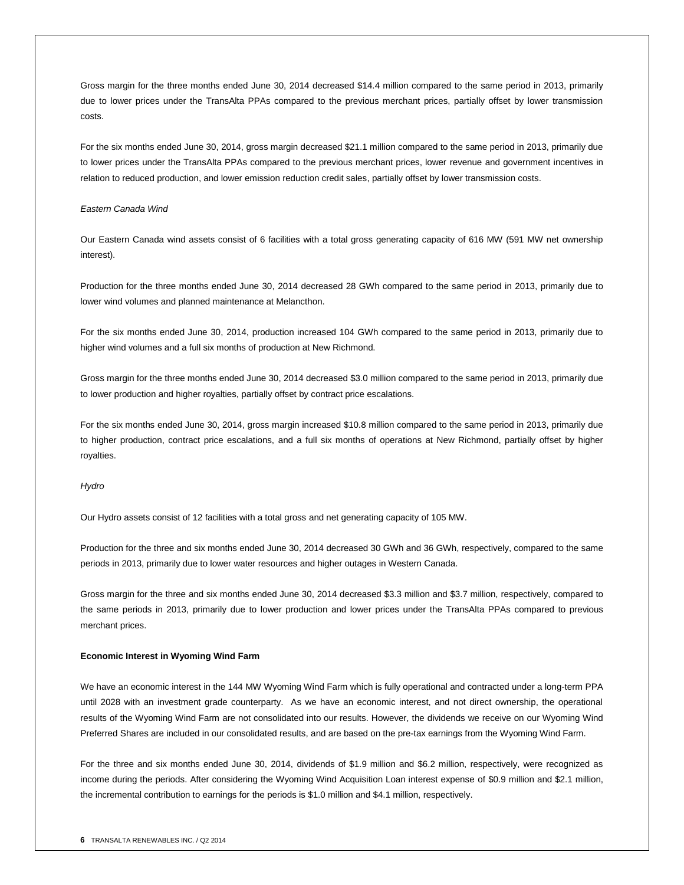Gross margin for the three months ended June 30, 2014 decreased \$14.4 million compared to the same period in 2013, primarily due to lower prices under the TransAlta PPAs compared to the previous merchant prices, partially offset by lower transmission costs.

For the six months ended June 30, 2014, gross margin decreased \$21.1 million compared to the same period in 2013, primarily due to lower prices under the TransAlta PPAs compared to the previous merchant prices, lower revenue and government incentives in relation to reduced production, and lower emission reduction credit sales, partially offset by lower transmission costs.

#### *Eastern Canada Wind*

Our Eastern Canada wind assets consist of 6 facilities with a total gross generating capacity of 616 MW (591 MW net ownership interest).

Production for the three months ended June 30, 2014 decreased 28 GWh compared to the same period in 2013, primarily due to lower wind volumes and planned maintenance at Melancthon.

For the six months ended June 30, 2014, production increased 104 GWh compared to the same period in 2013, primarily due to higher wind volumes and a full six months of production at New Richmond.

Gross margin for the three months ended June 30, 2014 decreased \$3.0 million compared to the same period in 2013, primarily due to lower production and higher royalties, partially offset by contract price escalations.

For the six months ended June 30, 2014, gross margin increased \$10.8 million compared to the same period in 2013, primarily due to higher production, contract price escalations, and a full six months of operations at New Richmond, partially offset by higher royalties.

#### *Hydro*

Our Hydro assets consist of 12 facilities with a total gross and net generating capacity of 105 MW.

Production for the three and six months ended June 30, 2014 decreased 30 GWh and 36 GWh, respectively, compared to the same periods in 2013, primarily due to lower water resources and higher outages in Western Canada.

Gross margin for the three and six months ended June 30, 2014 decreased \$3.3 million and \$3.7 million, respectively, compared to the same periods in 2013, primarily due to lower production and lower prices under the TransAlta PPAs compared to previous merchant prices.

#### **Economic Interest in Wyoming Wind Farm**

We have an economic interest in the 144 MW Wyoming Wind Farm which is fully operational and contracted under a long-term PPA until 2028 with an investment grade counterparty. As we have an economic interest, and not direct ownership, the operational results of the Wyoming Wind Farm are not consolidated into our results. However, the dividends we receive on our Wyoming Wind Preferred Shares are included in our consolidated results, and are based on the pre-tax earnings from the Wyoming Wind Farm.

For the three and six months ended June 30, 2014, dividends of \$1.9 million and \$6.2 million, respectively, were recognized as income during the periods. After considering the Wyoming Wind Acquisition Loan interest expense of \$0.9 million and \$2.1 million, the incremental contribution to earnings for the periods is \$1.0 million and \$4.1 million, respectively.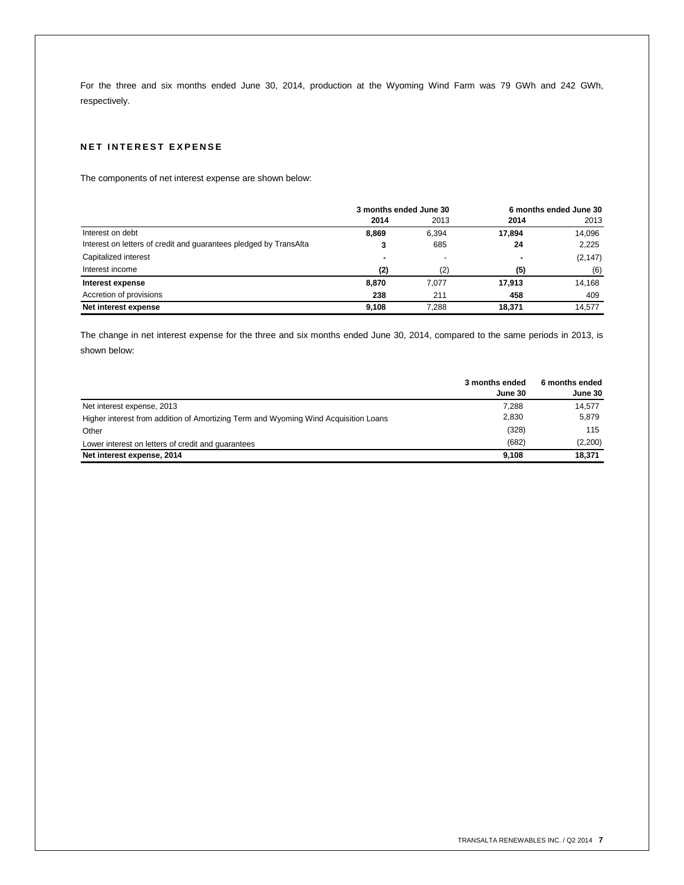For the three and six months ended June 30, 2014, production at the Wyoming Wind Farm was 79 GWh and 242 GWh, respectively.

# **NET INTEREST EXPENSE**

The components of net interest expense are shown below:

|                                                                   | 3 months ended June 30 |       |                | 6 months ended June 30 |
|-------------------------------------------------------------------|------------------------|-------|----------------|------------------------|
|                                                                   | 2014                   | 2013  | 2014           | 2013                   |
| Interest on debt                                                  | 8.869                  | 6,394 | 17.894         | 14.096                 |
| Interest on letters of credit and guarantees pledged by TransAlta |                        | 685   | 24             | 2,225                  |
| Capitalized interest                                              | -                      |       | $\blacksquare$ | (2, 147)               |
| Interest income                                                   | (2)                    | (2)   | (5)            | (6)                    |
| Interest expense                                                  | 8.870                  | 7.077 | 17,913         | 14,168                 |
| Accretion of provisions                                           | 238                    | 211   | 458            | 409                    |
| Net interest expense                                              | 9.108                  | 7.288 | 18,371         | 14,577                 |

The change in net interest expense for the three and six months ended June 30, 2014, compared to the same periods in 2013, is shown below:

|                                                                                     | 3 months ended | 6 months ended |
|-------------------------------------------------------------------------------------|----------------|----------------|
|                                                                                     | June 30        | June 30        |
| Net interest expense, 2013                                                          | 7.288          | 14.577         |
| Higher interest from addition of Amortizing Term and Wyoming Wind Acquisition Loans | 2.830          | 5,879          |
| Other                                                                               | (328)          | 115            |
| Lower interest on letters of credit and quarantees                                  | (682)          | (2,200)        |
| Net interest expense, 2014                                                          | 9.108          | 18,371         |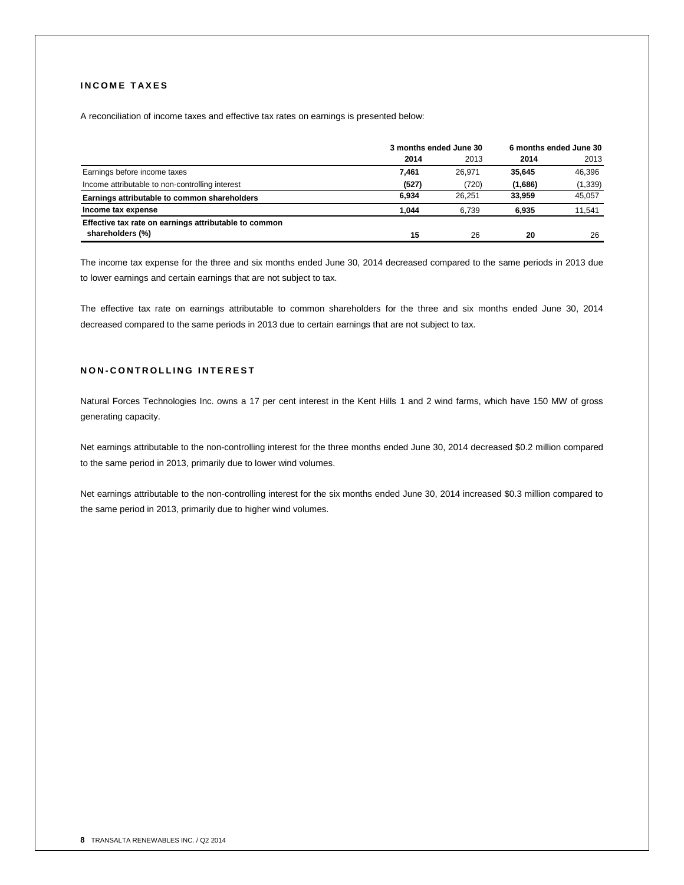# **I N C O M E T A X E S**

A reconciliation of income taxes and effective tax rates on earnings is presented below:

|                                                       | 3 months ended June 30 | 6 months ended June 30 |         |          |
|-------------------------------------------------------|------------------------|------------------------|---------|----------|
|                                                       | 2014                   | 2013                   | 2014    | 2013     |
| Earnings before income taxes                          | 7.461                  | 26,971                 | 35,645  | 46,396   |
| Income attributable to non-controlling interest       | (527)                  | (720)                  | (1,686) | (1, 339) |
| Earnings attributable to common shareholders          | 6.934                  | 26.251                 | 33.959  | 45.057   |
| Income tax expense                                    | 1.044                  | 6.739                  | 6.935   | 11,541   |
| Effective tax rate on earnings attributable to common |                        |                        |         |          |
| shareholders (%)                                      | 15                     | 26                     | 20      | 26       |

The income tax expense for the three and six months ended June 30, 2014 decreased compared to the same periods in 2013 due to lower earnings and certain earnings that are not subject to tax.

The effective tax rate on earnings attributable to common shareholders for the three and six months ended June 30, 2014 decreased compared to the same periods in 2013 due to certain earnings that are not subject to tax.

# **N O N - C O N T R O L L I N G I N T E R E S T**

Natural Forces Technologies Inc. owns a 17 per cent interest in the Kent Hills 1 and 2 wind farms, which have 150 MW of gross generating capacity.

Net earnings attributable to the non-controlling interest for the three months ended June 30, 2014 decreased \$0.2 million compared to the same period in 2013, primarily due to lower wind volumes.

Net earnings attributable to the non-controlling interest for the six months ended June 30, 2014 increased \$0.3 million compared to the same period in 2013, primarily due to higher wind volumes.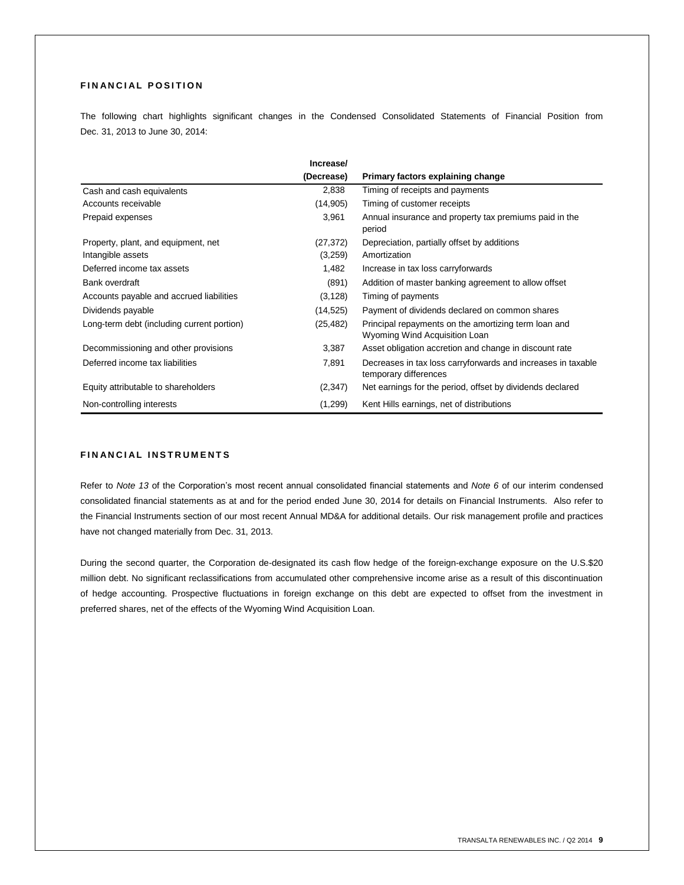# **FINANCIAL POSITION**

The following chart highlights significant changes in the Condensed Consolidated Statements of Financial Position from Dec. 31, 2013 to June 30, 2014:

|                                            | Increase/  |                                                                                       |
|--------------------------------------------|------------|---------------------------------------------------------------------------------------|
|                                            | (Decrease) | Primary factors explaining change                                                     |
| Cash and cash equivalents                  | 2,838      | Timing of receipts and payments                                                       |
| Accounts receivable                        | (14, 905)  | Timing of customer receipts                                                           |
| Prepaid expenses                           | 3,961      | Annual insurance and property tax premiums paid in the<br>period                      |
| Property, plant, and equipment, net        | (27,372)   | Depreciation, partially offset by additions                                           |
| Intangible assets                          | (3,259)    | Amortization                                                                          |
| Deferred income tax assets                 | 1,482      | Increase in tax loss carryforwards                                                    |
| Bank overdraft                             | (891)      | Addition of master banking agreement to allow offset                                  |
| Accounts payable and accrued liabilities   | (3, 128)   | Timing of payments                                                                    |
| Dividends payable                          | (14, 525)  | Payment of dividends declared on common shares                                        |
| Long-term debt (including current portion) | (25,482)   | Principal repayments on the amortizing term loan and<br>Wyoming Wind Acquisition Loan |
| Decommissioning and other provisions       | 3,387      | Asset obligation accretion and change in discount rate                                |
| Deferred income tax liabilities            | 7,891      | Decreases in tax loss carryforwards and increases in taxable<br>temporary differences |
| Equity attributable to shareholders        | (2, 347)   | Net earnings for the period, offset by dividends declared                             |
| Non-controlling interests                  | (1,299)    | Kent Hills earnings, net of distributions                                             |

# **FINANCIAL INSTRUMENTS**

Refer to *Note 13* of the Corporation's most recent annual consolidated financial statements and *Note 6* of our interim condensed consolidated financial statements as at and for the period ended June 30, 2014 for details on Financial Instruments. Also refer to the Financial Instruments section of our most recent Annual MD&A for additional details. Our risk management profile and practices have not changed materially from Dec. 31, 2013.

During the second quarter, the Corporation de-designated its cash flow hedge of the foreign-exchange exposure on the U.S.\$20 million debt. No significant reclassifications from accumulated other comprehensive income arise as a result of this discontinuation of hedge accounting. Prospective fluctuations in foreign exchange on this debt are expected to offset from the investment in preferred shares, net of the effects of the Wyoming Wind Acquisition Loan.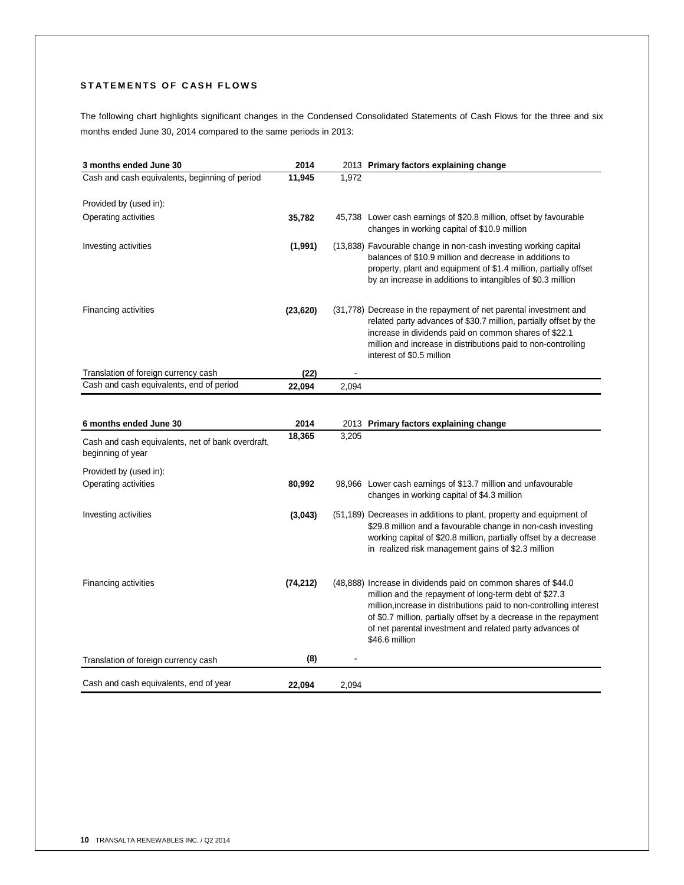# STATEMENTS OF CASH FLOWS

The following chart highlights significant changes in the Condensed Consolidated Statements of Cash Flows for the three and six months ended June 30, 2014 compared to the same periods in 2013:

| 3 months ended June 30                                                 | 2014      |       | 2013 Primary factors explaining change                                                                                                                                                                                                                                                                                                            |
|------------------------------------------------------------------------|-----------|-------|---------------------------------------------------------------------------------------------------------------------------------------------------------------------------------------------------------------------------------------------------------------------------------------------------------------------------------------------------|
| Cash and cash equivalents, beginning of period                         | 11,945    | 1,972 |                                                                                                                                                                                                                                                                                                                                                   |
|                                                                        |           |       |                                                                                                                                                                                                                                                                                                                                                   |
| Provided by (used in):                                                 |           |       |                                                                                                                                                                                                                                                                                                                                                   |
| Operating activities                                                   | 35,782    |       | 45,738 Lower cash earnings of \$20.8 million, offset by favourable<br>changes in working capital of \$10.9 million                                                                                                                                                                                                                                |
| Investing activities                                                   | (1,991)   |       | (13,838) Favourable change in non-cash investing working capital<br>balances of \$10.9 million and decrease in additions to<br>property, plant and equipment of \$1.4 million, partially offset<br>by an increase in additions to intangibles of \$0.3 million                                                                                    |
| Financing activities                                                   | (23, 620) |       | (31,778) Decrease in the repayment of net parental investment and<br>related party advances of \$30.7 million, partially offset by the<br>increase in dividends paid on common shares of \$22.1<br>million and increase in distributions paid to non-controlling<br>interest of \$0.5 million                                                     |
| Translation of foreign currency cash                                   | (22)      |       |                                                                                                                                                                                                                                                                                                                                                   |
| Cash and cash equivalents, end of period                               | 22,094    | 2,094 |                                                                                                                                                                                                                                                                                                                                                   |
|                                                                        |           |       |                                                                                                                                                                                                                                                                                                                                                   |
| 6 months ended June 30                                                 | 2014      |       | 2013 Primary factors explaining change                                                                                                                                                                                                                                                                                                            |
|                                                                        | 18,365    | 3,205 |                                                                                                                                                                                                                                                                                                                                                   |
| Cash and cash equivalents, net of bank overdraft,<br>beginning of year |           |       |                                                                                                                                                                                                                                                                                                                                                   |
| Provided by (used in):                                                 |           |       |                                                                                                                                                                                                                                                                                                                                                   |
| Operating activities                                                   | 80,992    |       | 98,966 Lower cash earnings of \$13.7 million and unfavourable<br>changes in working capital of \$4.3 million                                                                                                                                                                                                                                      |
| Investing activities                                                   | (3,043)   |       | (51,189) Decreases in additions to plant, property and equipment of<br>\$29.8 million and a favourable change in non-cash investing<br>working capital of \$20.8 million, partially offset by a decrease<br>in realized risk management gains of \$2.3 million                                                                                    |
| <b>Financing activities</b>                                            | (74, 212) |       | (48,888) Increase in dividends paid on common shares of \$44.0<br>million and the repayment of long-term debt of \$27.3<br>million, increase in distributions paid to non-controlling interest<br>of \$0.7 million, partially offset by a decrease in the repayment<br>of net parental investment and related party advances of<br>\$46.6 million |
| Translation of foreign currency cash                                   | (8)       |       |                                                                                                                                                                                                                                                                                                                                                   |
|                                                                        |           |       |                                                                                                                                                                                                                                                                                                                                                   |
| Cash and cash equivalents, end of year                                 | 22,094    | 2,094 |                                                                                                                                                                                                                                                                                                                                                   |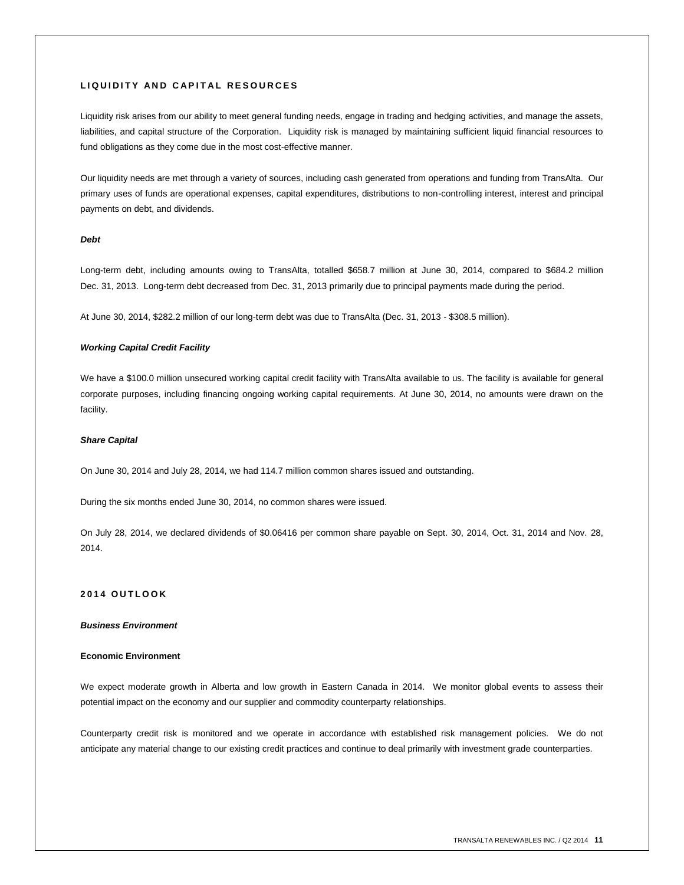# **L I Q U I D I T Y A N D C A P I T A L R E S O U R C E S**

Liquidity risk arises from our ability to meet general funding needs, engage in trading and hedging activities, and manage the assets, liabilities, and capital structure of the Corporation. Liquidity risk is managed by maintaining sufficient liquid financial resources to fund obligations as they come due in the most cost-effective manner.

Our liquidity needs are met through a variety of sources, including cash generated from operations and funding from TransAlta. Our primary uses of funds are operational expenses, capital expenditures, distributions to non-controlling interest, interest and principal payments on debt, and dividends.

# *Debt*

Long-term debt, including amounts owing to TransAlta, totalled \$658.7 million at June 30, 2014, compared to \$684.2 million Dec. 31, 2013. Long-term debt decreased from Dec. 31, 2013 primarily due to principal payments made during the period.

At June 30, 2014, \$282.2 million of our long-term debt was due to TransAlta (Dec. 31, 2013 - \$308.5 million).

## *Working Capital Credit Facility*

We have a \$100.0 million unsecured working capital credit facility with TransAlta available to us. The facility is available for general corporate purposes, including financing ongoing working capital requirements. At June 30, 2014, no amounts were drawn on the facility.

#### *Share Capital*

On June 30, 2014 and July 28, 2014, we had 114.7 million common shares issued and outstanding.

During the six months ended June 30, 2014, no common shares were issued.

On July 28, 2014, we declared dividends of \$0.06416 per common share payable on Sept. 30, 2014, Oct. 31, 2014 and Nov. 28, 2014.

# **201 4 O U T L O O K**

# *Business Environment*

#### **Economic Environment**

We expect moderate growth in Alberta and low growth in Eastern Canada in 2014. We monitor global events to assess their potential impact on the economy and our supplier and commodity counterparty relationships.

Counterparty credit risk is monitored and we operate in accordance with established risk management policies. We do not anticipate any material change to our existing credit practices and continue to deal primarily with investment grade counterparties.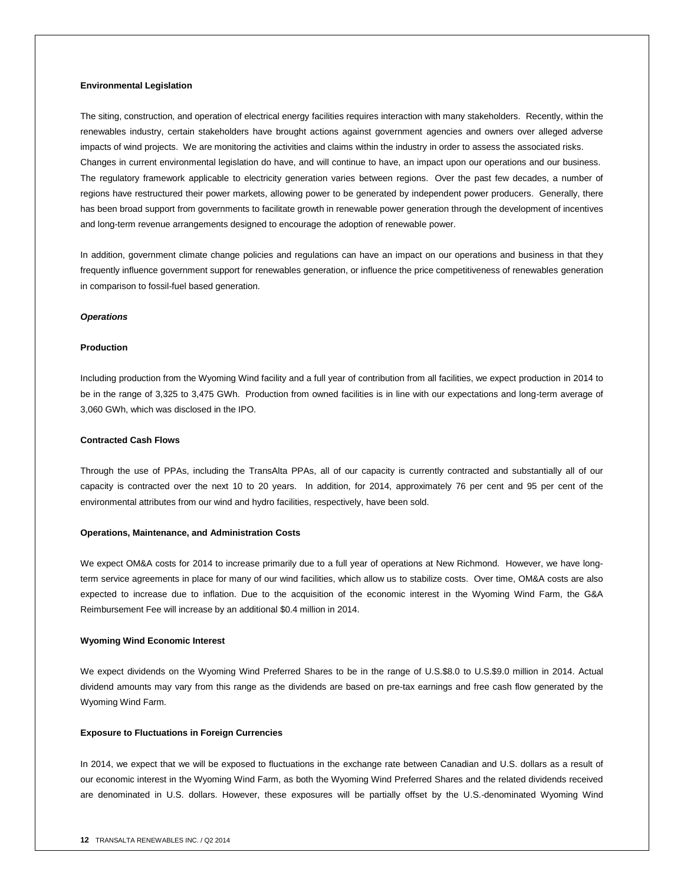#### **Environmental Legislation**

The siting, construction, and operation of electrical energy facilities requires interaction with many stakeholders. Recently, within the renewables industry, certain stakeholders have brought actions against government agencies and owners over alleged adverse impacts of wind projects. We are monitoring the activities and claims within the industry in order to assess the associated risks. Changes in current environmental legislation do have, and will continue to have, an impact upon our operations and our business. The regulatory framework applicable to electricity generation varies between regions. Over the past few decades, a number of regions have restructured their power markets, allowing power to be generated by independent power producers. Generally, there has been broad support from governments to facilitate growth in renewable power generation through the development of incentives and long-term revenue arrangements designed to encourage the adoption of renewable power.

In addition, government climate change policies and regulations can have an impact on our operations and business in that they frequently influence government support for renewables generation, or influence the price competitiveness of renewables generation in comparison to fossil-fuel based generation.

#### *Operations*

#### **Production**

Including production from the Wyoming Wind facility and a full year of contribution from all facilities, we expect production in 2014 to be in the range of 3,325 to 3,475 GWh. Production from owned facilities is in line with our expectations and long-term average of 3,060 GWh, which was disclosed in the IPO.

#### **Contracted Cash Flows**

Through the use of PPAs, including the TransAlta PPAs, all of our capacity is currently contracted and substantially all of our capacity is contracted over the next 10 to 20 years. In addition, for 2014, approximately 76 per cent and 95 per cent of the environmental attributes from our wind and hydro facilities, respectively, have been sold.

#### **Operations, Maintenance, and Administration Costs**

We expect OM&A costs for 2014 to increase primarily due to a full year of operations at New Richmond. However, we have longterm service agreements in place for many of our wind facilities, which allow us to stabilize costs. Over time, OM&A costs are also expected to increase due to inflation. Due to the acquisition of the economic interest in the Wyoming Wind Farm, the G&A Reimbursement Fee will increase by an additional \$0.4 million in 2014.

#### **Wyoming Wind Economic Interest**

We expect dividends on the Wyoming Wind Preferred Shares to be in the range of U.S.\$8.0 to U.S.\$9.0 million in 2014. Actual dividend amounts may vary from this range as the dividends are based on pre-tax earnings and free cash flow generated by the Wyoming Wind Farm.

#### **Exposure to Fluctuations in Foreign Currencies**

In 2014, we expect that we will be exposed to fluctuations in the exchange rate between Canadian and U.S. dollars as a result of our economic interest in the Wyoming Wind Farm, as both the Wyoming Wind Preferred Shares and the related dividends received are denominated in U.S. dollars. However, these exposures will be partially offset by the U.S.-denominated Wyoming Wind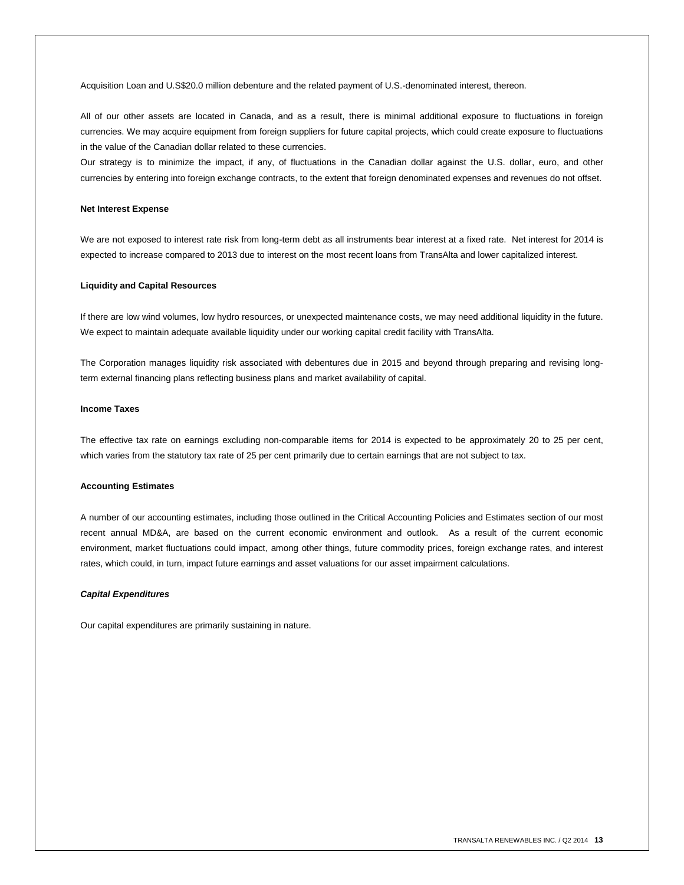Acquisition Loan and U.S\$20.0 million debenture and the related payment of U.S.-denominated interest, thereon.

All of our other assets are located in Canada, and as a result, there is minimal additional exposure to fluctuations in foreign currencies. We may acquire equipment from foreign suppliers for future capital projects, which could create exposure to fluctuations in the value of the Canadian dollar related to these currencies.

Our strategy is to minimize the impact, if any, of fluctuations in the Canadian dollar against the U.S. dollar, euro, and other currencies by entering into foreign exchange contracts, to the extent that foreign denominated expenses and revenues do not offset.

#### **Net Interest Expense**

We are not exposed to interest rate risk from long-term debt as all instruments bear interest at a fixed rate. Net interest for 2014 is expected to increase compared to 2013 due to interest on the most recent loans from TransAlta and lower capitalized interest.

#### **Liquidity and Capital Resources**

If there are low wind volumes, low hydro resources, or unexpected maintenance costs, we may need additional liquidity in the future. We expect to maintain adequate available liquidity under our working capital credit facility with TransAlta.

The Corporation manages liquidity risk associated with debentures due in 2015 and beyond through preparing and revising longterm external financing plans reflecting business plans and market availability of capital.

#### **Income Taxes**

The effective tax rate on earnings excluding non-comparable items for 2014 is expected to be approximately 20 to 25 per cent, which varies from the statutory tax rate of 25 per cent primarily due to certain earnings that are not subject to tax.

#### **Accounting Estimates**

A number of our accounting estimates, including those outlined in the Critical Accounting Policies and Estimates section of our most recent annual MD&A, are based on the current economic environment and outlook. As a result of the current economic environment, market fluctuations could impact, among other things, future commodity prices, foreign exchange rates, and interest rates, which could, in turn, impact future earnings and asset valuations for our asset impairment calculations.

#### *Capital Expenditures*

Our capital expenditures are primarily sustaining in nature.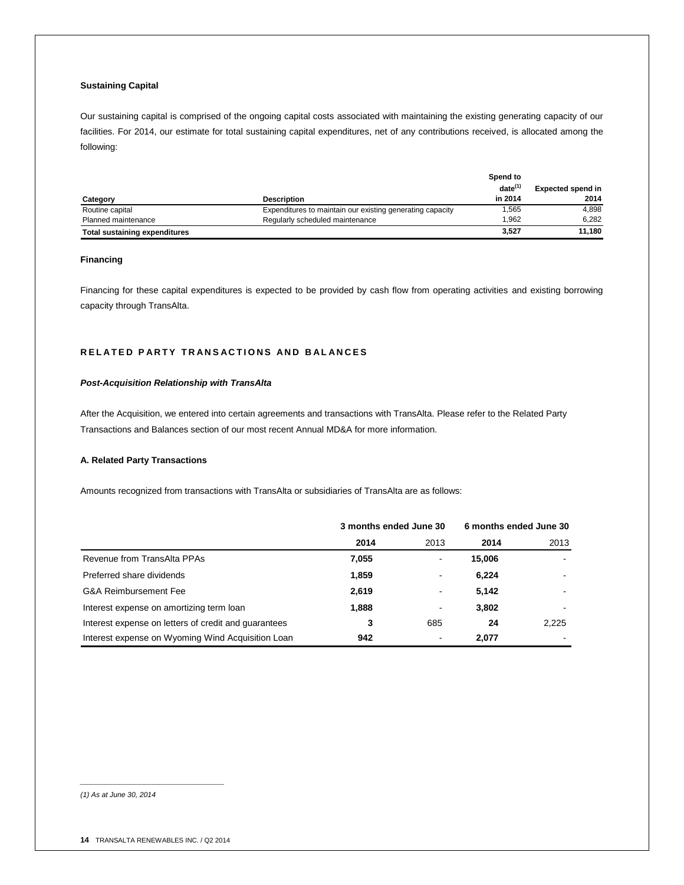# **Sustaining Capital**

Our sustaining capital is comprised of the ongoing capital costs associated with maintaining the existing generating capacity of our facilities. For 2014, our estimate for total sustaining capital expenditures, net of any contributions received, is allocated among the following:

|                                      |                                                           | Spend to     |                          |
|--------------------------------------|-----------------------------------------------------------|--------------|--------------------------|
|                                      |                                                           | $date^{(1)}$ | <b>Expected spend in</b> |
| Category                             | <b>Description</b>                                        | in 2014      | 2014                     |
| Routine capital                      | Expenditures to maintain our existing generating capacity | .565         | 4.898                    |
| Planned maintenance                  | Regularly scheduled maintenance                           | 1.962        | 6.282                    |
| <b>Total sustaining expenditures</b> |                                                           | 3,527        | 11.180                   |

## **Financing**

Financing for these capital expenditures is expected to be provided by cash flow from operating activities and existing borrowing capacity through TransAlta.

# **RELATED PARTY TRANSACTIONS AND BALANCES**

## *Post-Acquisition Relationship with TransAlta*

After the Acquisition, we entered into certain agreements and transactions with TransAlta. Please refer to the Related Party Transactions and Balances section of our most recent Annual MD&A for more information.

# **A. Related Party Transactions**

Amounts recognized from transactions with TransAlta or subsidiaries of TransAlta are as follows:

|                                                      | 3 months ended June 30 |                | 6 months ended June 30 |       |
|------------------------------------------------------|------------------------|----------------|------------------------|-------|
|                                                      | 2014                   | 2013           | 2014                   | 2013  |
| Revenue from TransAlta PPAs                          | 7,055                  | $\blacksquare$ | 15,006                 |       |
| Preferred share dividends                            | 1,859                  | $\blacksquare$ | 6.224                  |       |
| <b>G&amp;A Reimbursement Fee</b>                     | 2,619                  | $\blacksquare$ | 5.142                  |       |
| Interest expense on amortizing term loan             | 1,888                  | $\,$ $\,$      | 3,802                  |       |
| Interest expense on letters of credit and quarantees | 3                      | 685            | 24                     | 2,225 |
| Interest expense on Wyoming Wind Acquisition Loan    | 942                    |                | 2.077                  |       |

*(1) As at June 30, 2014*

*\_\_\_\_\_\_\_\_\_\_\_\_\_\_\_\_\_\_\_\_\_\_\_\_\_\_\_\_\_*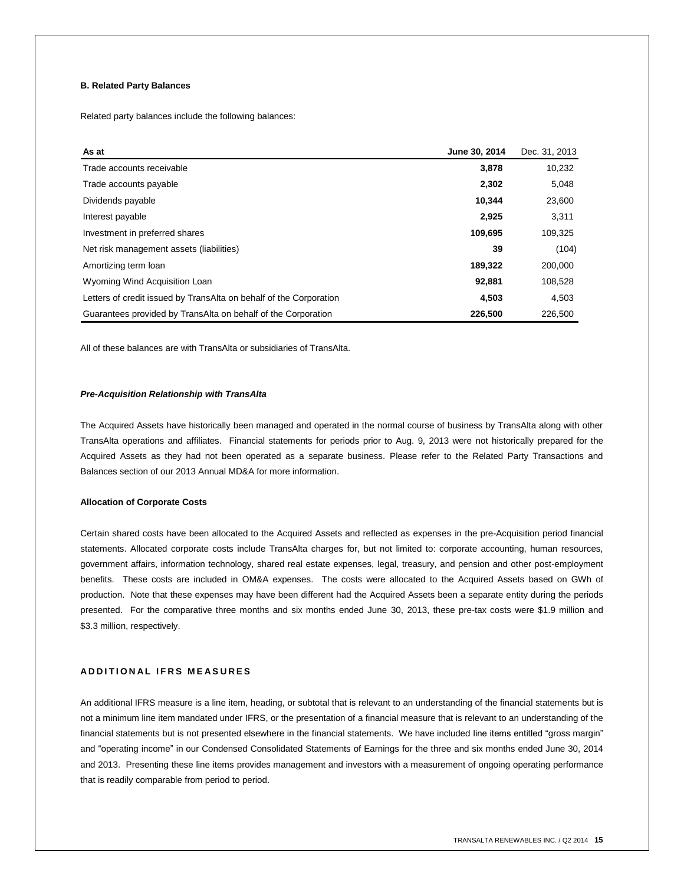# **B. Related Party Balances**

Related party balances include the following balances:

| As at                                                              | June 30, 2014 | Dec. 31, 2013 |
|--------------------------------------------------------------------|---------------|---------------|
| Trade accounts receivable                                          | 3,878         | 10,232        |
| Trade accounts payable                                             | 2,302         | 5,048         |
| Dividends payable                                                  | 10.344        | 23,600        |
| Interest payable                                                   | 2,925         | 3,311         |
| Investment in preferred shares                                     | 109,695       | 109,325       |
| Net risk management assets (liabilities)                           | 39            | (104)         |
| Amortizing term loan                                               | 189,322       | 200,000       |
| Wyoming Wind Acquisition Loan                                      | 92,881        | 108,528       |
| Letters of credit issued by TransAlta on behalf of the Corporation | 4,503         | 4,503         |
| Guarantees provided by TransAlta on behalf of the Corporation      | 226.500       | 226,500       |

All of these balances are with TransAlta or subsidiaries of TransAlta.

## *Pre-Acquisition Relationship with TransAlta*

The Acquired Assets have historically been managed and operated in the normal course of business by TransAlta along with other TransAlta operations and affiliates. Financial statements for periods prior to Aug. 9, 2013 were not historically prepared for the Acquired Assets as they had not been operated as a separate business. Please refer to the Related Party Transactions and Balances section of our 2013 Annual MD&A for more information.

#### **Allocation of Corporate Costs**

Certain shared costs have been allocated to the Acquired Assets and reflected as expenses in the pre-Acquisition period financial statements. Allocated corporate costs include TransAlta charges for, but not limited to: corporate accounting, human resources, government affairs, information technology, shared real estate expenses, legal, treasury, and pension and other post-employment benefits. These costs are included in OM&A expenses. The costs were allocated to the Acquired Assets based on GWh of production. Note that these expenses may have been different had the Acquired Assets been a separate entity during the periods presented. For the comparative three months and six months ended June 30, 2013, these pre-tax costs were \$1.9 million and \$3.3 million, respectively.

# **A D D I T I O N A L I F R S M E A S U R E S**

An additional IFRS measure is a line item, heading, or subtotal that is relevant to an understanding of the financial statements but is not a minimum line item mandated under IFRS, or the presentation of a financial measure that is relevant to an understanding of the financial statements but is not presented elsewhere in the financial statements. We have included line items entitled "gross margin" and "operating income" in our Condensed Consolidated Statements of Earnings for the three and six months ended June 30, 2014 and 2013. Presenting these line items provides management and investors with a measurement of ongoing operating performance that is readily comparable from period to period.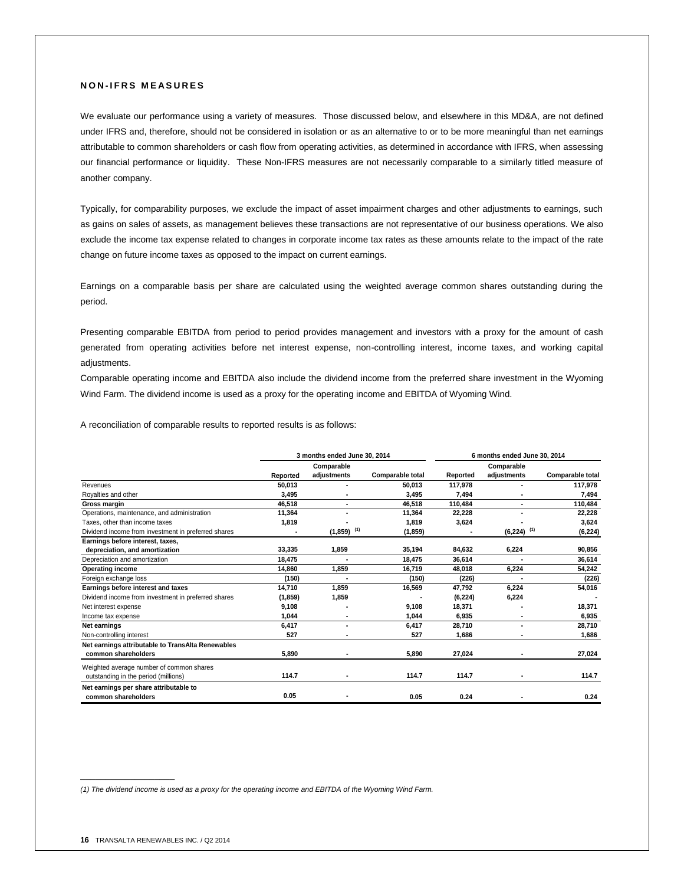# **N O N - I F R S M E A S U R E S**

We evaluate our performance using a variety of measures. Those discussed below, and elsewhere in this MD&A, are not defined under IFRS and, therefore, should not be considered in isolation or as an alternative to or to be more meaningful than net earnings attributable to common shareholders or cash flow from operating activities, as determined in accordance with IFRS, when assessing our financial performance or liquidity. These Non-IFRS measures are not necessarily comparable to a similarly titled measure of another company.

Typically, for comparability purposes, we exclude the impact of asset impairment charges and other adjustments to earnings, such as gains on sales of assets, as management believes these transactions are not representative of our business operations. We also exclude the income tax expense related to changes in corporate income tax rates as these amounts relate to the impact of the rate change on future income taxes as opposed to the impact on current earnings.

Earnings on a comparable basis per share are calculated using the weighted average common shares outstanding during the period.

Presenting comparable EBITDA from period to period provides management and investors with a proxy for the amount of cash generated from operating activities before net interest expense, non-controlling interest, income taxes, and working capital adjustments.

Comparable operating income and EBITDA also include the dividend income from the preferred share investment in the Wyoming Wind Farm. The dividend income is used as a proxy for the operating income and EBITDA of Wyoming Wind.

A reconciliation of comparable results to reported results is as follows:

|                                                     | 3 months ended June 30, 2014 |                          |                  | 6 months ended June 30, 2014 |                 |                  |
|-----------------------------------------------------|------------------------------|--------------------------|------------------|------------------------------|-----------------|------------------|
|                                                     |                              | Comparable               |                  | Comparable                   |                 |                  |
|                                                     | Reported                     | adjustments              | Comparable total | Reported                     | adjustments     | Comparable total |
| Revenues                                            | 50,013                       | ٠                        | 50.013           | 117,978                      | ٠               | 117,978          |
| Royalties and other                                 | 3,495                        |                          | 3,495            | 7,494                        |                 | 7,494            |
| Gross margin                                        | 46,518                       | ٠                        | 46.518           | 110,484                      |                 | 110,484          |
| Operations, maintenance, and administration         | 11,364                       | ٠                        | 11,364           | 22,228                       |                 | 22,228           |
| Taxes, other than income taxes                      | 1,819                        |                          | 1.819            | 3,624                        |                 | 3,624            |
| Dividend income from investment in preferred shares |                              | $(1,859)$ <sup>(1)</sup> | (1, 859)         |                              | (1)<br>(6, 224) | (6, 224)         |
| Earnings before interest, taxes,                    |                              |                          |                  |                              |                 |                  |
| depreciation, and amortization                      | 33,335                       | 1,859                    | 35,194           | 84,632                       | 6,224           | 90,856           |
| Depreciation and amortization                       | 18,475                       |                          | 18,475           | 36,614                       | ٠               | 36,614           |
| <b>Operating income</b>                             | 14,860                       | 1,859                    | 16,719           | 48,018                       | 6,224           | 54,242           |
| Foreign exchange loss                               | (150)                        |                          | (150)            | (226)                        |                 | (226)            |
| Earnings before interest and taxes                  | 14,710                       | 1,859                    | 16,569           | 47,792                       | 6,224           | 54,016           |
| Dividend income from investment in preferred shares | (1,859)                      | 1,859                    |                  | (6, 224)                     | 6,224           |                  |
| Net interest expense                                | 9,108                        |                          | 9,108            | 18,371                       |                 | 18,371           |
| Income tax expense                                  | 1.044                        |                          | 1.044            | 6.935                        |                 | 6,935            |
| Net earnings                                        | 6.417                        | ٠                        | 6.417            | 28,710                       |                 | 28,710           |
| Non-controlling interest                            | 527                          | ٠                        | 527              | 1,686                        |                 | 1,686            |
| Net earnings attributable to TransAlta Renewables   |                              |                          |                  |                              |                 |                  |
| common shareholders                                 | 5,890                        |                          | 5,890            | 27,024                       |                 | 27,024           |
| Weighted average number of common shares            |                              |                          |                  |                              |                 |                  |
| outstanding in the period (millions)                | 114.7                        |                          | 114.7            | 114.7                        |                 | 114.7            |
| Net earnings per share attributable to              |                              |                          |                  |                              |                 |                  |
| common shareholders                                 | 0.05                         |                          | 0.05             | 0.24                         |                 | 0.24             |

*(1) The dividend income is used as a proxy for the operating income and EBITDA of the Wyoming Wind Farm.*

 $\mathcal{L}=\mathcal{L}$  , we can also the set of the set of the set of the set of the set of the set of the set of the set of the set of the set of the set of the set of the set of the set of the set of the set of the set of the s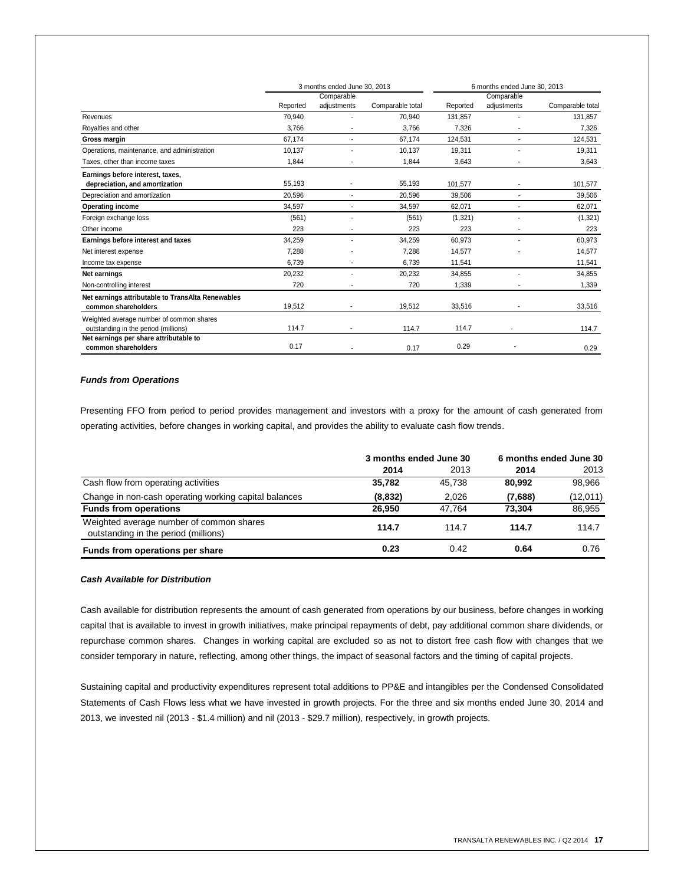|                                                   | 3 months ended June 30, 2013 |                              |                  | 6 months ended June 30, 2013 |             |                  |
|---------------------------------------------------|------------------------------|------------------------------|------------------|------------------------------|-------------|------------------|
|                                                   |                              | Comparable                   |                  |                              | Comparable  |                  |
|                                                   | Reported                     | adjustments                  | Comparable total | Reported                     | adjustments | Comparable total |
| Revenues                                          | 70.940                       |                              | 70,940           | 131.857                      |             | 131,857          |
| Royalties and other                               | 3,766                        |                              | 3,766            | 7,326                        |             | 7,326            |
| Gross margin                                      | 67.174                       |                              | 67,174           | 124,531                      |             | 124,531          |
| Operations, maintenance, and administration       | 10,137                       |                              | 10,137           | 19,311                       |             | 19,311           |
| Taxes, other than income taxes                    | 1.844                        |                              | 1.844            | 3,643                        |             | 3,643            |
| Earnings before interest, taxes,                  |                              |                              |                  |                              |             |                  |
| depreciation, and amortization                    | 55,193                       | $\qquad \qquad \blacksquare$ | 55,193           | 101,577                      |             | 101,577          |
| Depreciation and amortization                     | 20.596                       | $\overline{\phantom{a}}$     | 20,596           | 39,506                       | ۰.          | 39,506           |
| <b>Operating income</b>                           | 34,597                       |                              | 34,597           | 62,071                       |             | 62,071           |
| Foreign exchange loss                             | (561)                        |                              | (561)            | (1,321)                      |             | (1, 321)         |
| Other income                                      | 223                          |                              | 223              | 223                          |             | 223              |
| Earnings before interest and taxes                | 34,259                       |                              | 34,259           | 60,973                       | ÷.          | 60,973           |
| Net interest expense                              | 7,288                        |                              | 7,288            | 14,577                       |             | 14,577           |
| Income tax expense                                | 6,739                        |                              | 6,739            | 11,541                       |             | 11,541           |
| Net earnings                                      | 20,232                       |                              | 20,232           | 34,855                       |             | 34,855           |
| Non-controlling interest                          | 720                          |                              | 720              | 1,339                        |             | 1,339            |
| Net earnings attributable to TransAlta Renewables |                              |                              |                  |                              |             |                  |
| common shareholders                               | 19,512                       |                              | 19,512           | 33,516                       |             | 33,516           |
| Weighted average number of common shares          |                              |                              |                  |                              |             |                  |
| outstanding in the period (millions)              | 114.7                        |                              | 114.7            | 114.7                        |             | 114.7            |
| Net earnings per share attributable to            | 0.17                         |                              |                  | 0.29                         |             |                  |
| common shareholders                               |                              |                              | 0.17             |                              |             | 0.29             |

## *Funds from Operations*

Presenting FFO from period to period provides management and investors with a proxy for the amount of cash generated from operating activities, before changes in working capital, and provides the ability to evaluate cash flow trends.

|                                                                                  | 3 months ended June 30 |        | 6 months ended June 30 |          |
|----------------------------------------------------------------------------------|------------------------|--------|------------------------|----------|
|                                                                                  | 2014                   | 2013   | 2014                   | 2013     |
| Cash flow from operating activities                                              | 35,782                 | 45.738 | 80.992                 | 98,966   |
| Change in non-cash operating working capital balances                            | (8, 832)               | 2.026  | (7,688)                | (12,011) |
| <b>Funds from operations</b>                                                     | 26.950                 | 47.764 | 73.304                 | 86,955   |
| Weighted average number of common shares<br>outstanding in the period (millions) | 114.7                  | 114.7  | 114.7                  | 114.7    |
| Funds from operations per share                                                  | 0.23                   | 0.42   | 0.64                   | 0.76     |

# *Cash Available for Distribution*

Cash available for distribution represents the amount of cash generated from operations by our business, before changes in working capital that is available to invest in growth initiatives, make principal repayments of debt, pay additional common share dividends, or repurchase common shares. Changes in working capital are excluded so as not to distort free cash flow with changes that we consider temporary in nature, reflecting, among other things, the impact of seasonal factors and the timing of capital projects.

Sustaining capital and productivity expenditures represent total additions to PP&E and intangibles per the Condensed Consolidated Statements of Cash Flows less what we have invested in growth projects. For the three and six months ended June 30, 2014 and 2013, we invested nil (2013 - \$1.4 million) and nil (2013 - \$29.7 million), respectively, in growth projects.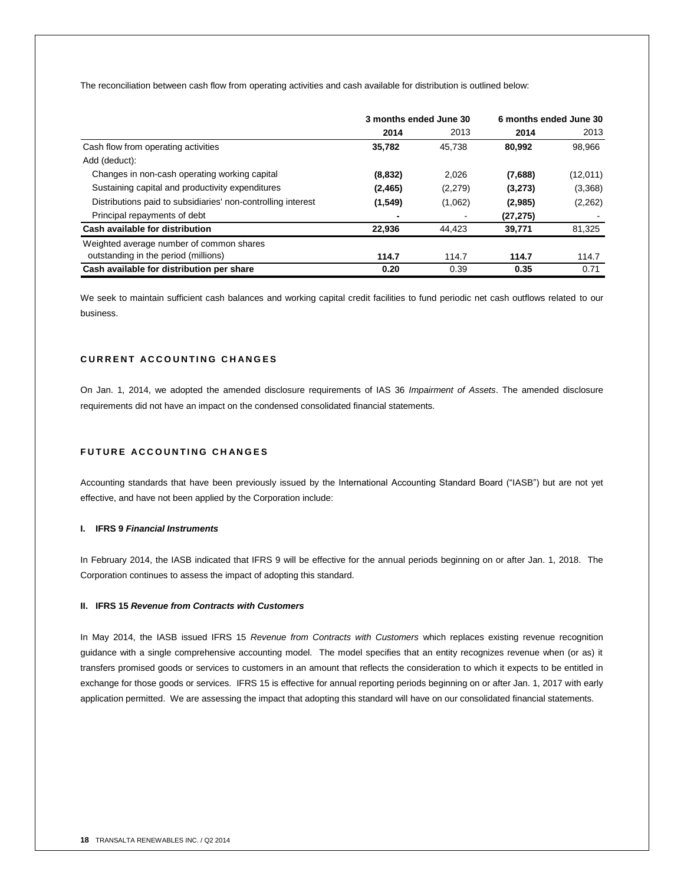The reconciliation between cash flow from operating activities and cash available for distribution is outlined below:

|                                                              | 3 months ended June 30 |         | 6 months ended June 30 |          |
|--------------------------------------------------------------|------------------------|---------|------------------------|----------|
|                                                              | 2014                   | 2013    | 2014                   | 2013     |
| Cash flow from operating activities                          | 35,782                 | 45.738  | 80,992                 | 98,966   |
| Add (deduct):                                                |                        |         |                        |          |
| Changes in non-cash operating working capital                | (8, 832)               | 2.026   | (7,688)                | (12,011) |
| Sustaining capital and productivity expenditures             | (2, 465)               | (2,279) | (3,273)                | (3,368)  |
| Distributions paid to subsidiaries' non-controlling interest | (1,549)                | (1,062) | (2,985)                | (2, 262) |
| Principal repayments of debt                                 |                        |         | (27, 275)              |          |
| Cash available for distribution                              | 22.936                 | 44.423  | 39,771                 | 81,325   |
| Weighted average number of common shares                     |                        |         |                        |          |
| outstanding in the period (millions)                         | 114.7                  | 114.7   | 114.7                  | 114.7    |
| Cash available for distribution per share                    | 0.20                   | 0.39    | 0.35                   | 0.71     |

We seek to maintain sufficient cash balances and working capital credit facilities to fund periodic net cash outflows related to our business.

# **C U R R E N T A C C O U N T I N G C H A N G E S**

On Jan. 1, 2014, we adopted the amended disclosure requirements of IAS 36 *Impairment of Assets*. The amended disclosure requirements did not have an impact on the condensed consolidated financial statements.

# **FUTURE ACCOUNTING CHANGES**

Accounting standards that have been previously issued by the International Accounting Standard Board ("IASB") but are not yet effective, and have not been applied by the Corporation include:

# **I. IFRS 9** *Financial Instruments*

In February 2014, the IASB indicated that IFRS 9 will be effective for the annual periods beginning on or after Jan. 1, 2018. The Corporation continues to assess the impact of adopting this standard.

#### **II. IFRS 15** *Revenue from Contracts with Customers*

In May 2014, the IASB issued IFRS 15 *Revenue from Contracts with Customers* which replaces existing revenue recognition guidance with a single comprehensive accounting model. The model specifies that an entity recognizes revenue when (or as) it transfers promised goods or services to customers in an amount that reflects the consideration to which it expects to be entitled in exchange for those goods or services. IFRS 15 is effective for annual reporting periods beginning on or after Jan. 1, 2017 with early application permitted. We are assessing the impact that adopting this standard will have on our consolidated financial statements.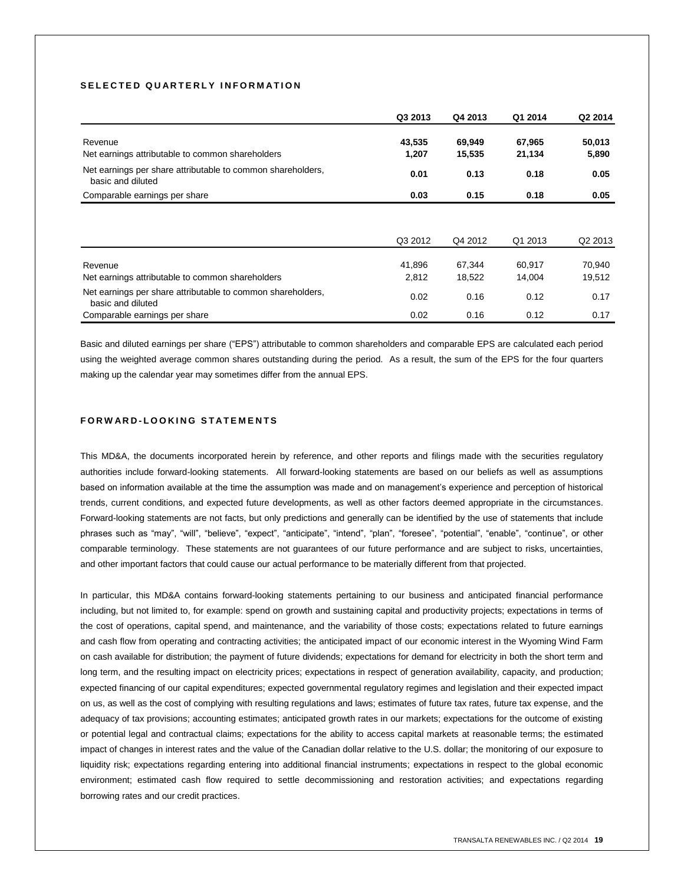# SELECTED QUARTERLY INFORMATION

|                                                                                  | Q3 2013 | Q4 2013 | Q1 2014 | Q2 2014             |
|----------------------------------------------------------------------------------|---------|---------|---------|---------------------|
| Revenue                                                                          | 43,535  | 69,949  | 67,965  | 50,013              |
| Net earnings attributable to common shareholders                                 | 1,207   | 15,535  | 21,134  | 5,890               |
| Net earnings per share attributable to common shareholders,<br>basic and diluted | 0.01    | 0.13    | 0.18    | 0.05                |
| Comparable earnings per share                                                    | 0.03    | 0.15    | 0.18    | 0.05                |
|                                                                                  | Q3 2012 | Q4 2012 | Q1 2013 | Q <sub>2</sub> 2013 |
| Revenue                                                                          | 41,896  | 67,344  | 60.917  | 70,940              |
| Net earnings attributable to common shareholders                                 | 2,812   | 18,522  | 14,004  | 19,512              |
| Net earnings per share attributable to common shareholders,<br>basic and diluted | 0.02    | 0.16    | 0.12    | 0.17                |
| Comparable earnings per share                                                    | 0.02    | 0.16    | 0.12    | 0.17                |

Basic and diluted earnings per share ("EPS") attributable to common shareholders and comparable EPS are calculated each period using the weighted average common shares outstanding during the period. As a result, the sum of the EPS for the four quarters making up the calendar year may sometimes differ from the annual EPS.

## **F O R W A R D - L O O K I N G S T A T E M E N T S**

This MD&A, the documents incorporated herein by reference, and other reports and filings made with the securities regulatory authorities include forward-looking statements. All forward-looking statements are based on our beliefs as well as assumptions based on information available at the time the assumption was made and on management's experience and perception of historical trends, current conditions, and expected future developments, as well as other factors deemed appropriate in the circumstances. Forward-looking statements are not facts, but only predictions and generally can be identified by the use of statements that include phrases such as "may", "will", "believe", "expect", "anticipate", "intend", "plan", "foresee", "potential", "enable", "continue", or other comparable terminology. These statements are not guarantees of our future performance and are subject to risks, uncertainties, and other important factors that could cause our actual performance to be materially different from that projected.

In particular, this MD&A contains forward-looking statements pertaining to our business and anticipated financial performance including, but not limited to, for example: spend on growth and sustaining capital and productivity projects; expectations in terms of the cost of operations, capital spend, and maintenance, and the variability of those costs; expectations related to future earnings and cash flow from operating and contracting activities; the anticipated impact of our economic interest in the Wyoming Wind Farm on cash available for distribution; the payment of future dividends; expectations for demand for electricity in both the short term and long term, and the resulting impact on electricity prices; expectations in respect of generation availability, capacity, and production; expected financing of our capital expenditures; expected governmental regulatory regimes and legislation and their expected impact on us, as well as the cost of complying with resulting regulations and laws; estimates of future tax rates, future tax expense, and the adequacy of tax provisions; accounting estimates; anticipated growth rates in our markets; expectations for the outcome of existing or potential legal and contractual claims; expectations for the ability to access capital markets at reasonable terms; the estimated impact of changes in interest rates and the value of the Canadian dollar relative to the U.S. dollar; the monitoring of our exposure to liquidity risk; expectations regarding entering into additional financial instruments; expectations in respect to the global economic environment; estimated cash flow required to settle decommissioning and restoration activities; and expectations regarding borrowing rates and our credit practices.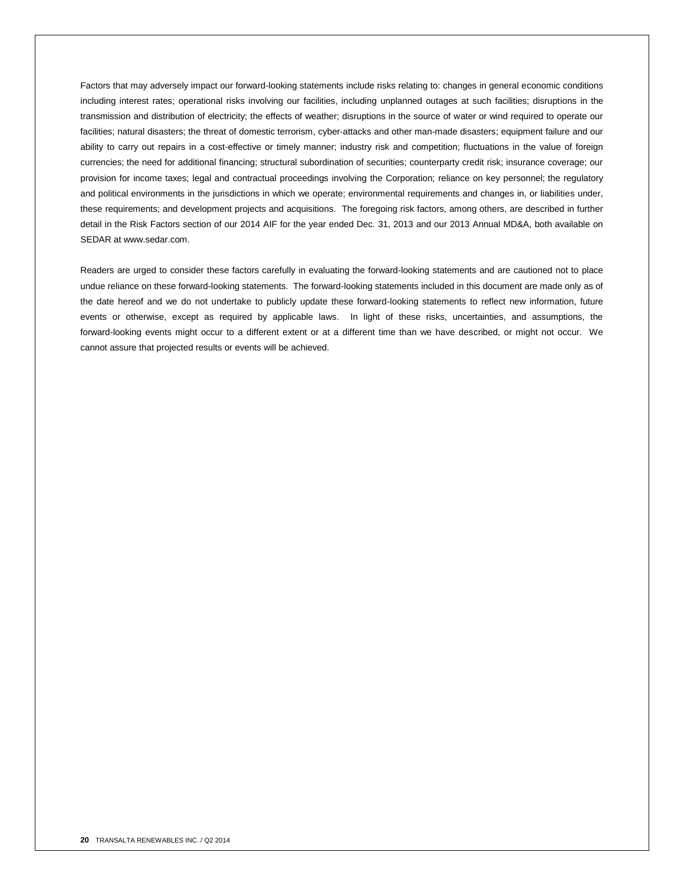Factors that may adversely impact our forward-looking statements include risks relating to: changes in general economic conditions including interest rates; operational risks involving our facilities, including unplanned outages at such facilities; disruptions in the transmission and distribution of electricity; the effects of weather; disruptions in the source of water or wind required to operate our facilities; natural disasters; the threat of domestic terrorism, cyber-attacks and other man-made disasters; equipment failure and our ability to carry out repairs in a cost-effective or timely manner; industry risk and competition; fluctuations in the value of foreign currencies; the need for additional financing; structural subordination of securities; counterparty credit risk; insurance coverage; our provision for income taxes; legal and contractual proceedings involving the Corporation; reliance on key personnel; the regulatory and political environments in the jurisdictions in which we operate; environmental requirements and changes in, or liabilities under, these requirements; and development projects and acquisitions. The foregoing risk factors, among others, are described in further detail in the Risk Factors section of our 2014 AIF for the year ended Dec. 31, 2013 and our 2013 Annual MD&A, both available on SEDAR at www.sedar.com.

Readers are urged to consider these factors carefully in evaluating the forward-looking statements and are cautioned not to place undue reliance on these forward-looking statements. The forward-looking statements included in this document are made only as of the date hereof and we do not undertake to publicly update these forward-looking statements to reflect new information, future events or otherwise, except as required by applicable laws. In light of these risks, uncertainties, and assumptions, the forward-looking events might occur to a different extent or at a different time than we have described, or might not occur. We cannot assure that projected results or events will be achieved.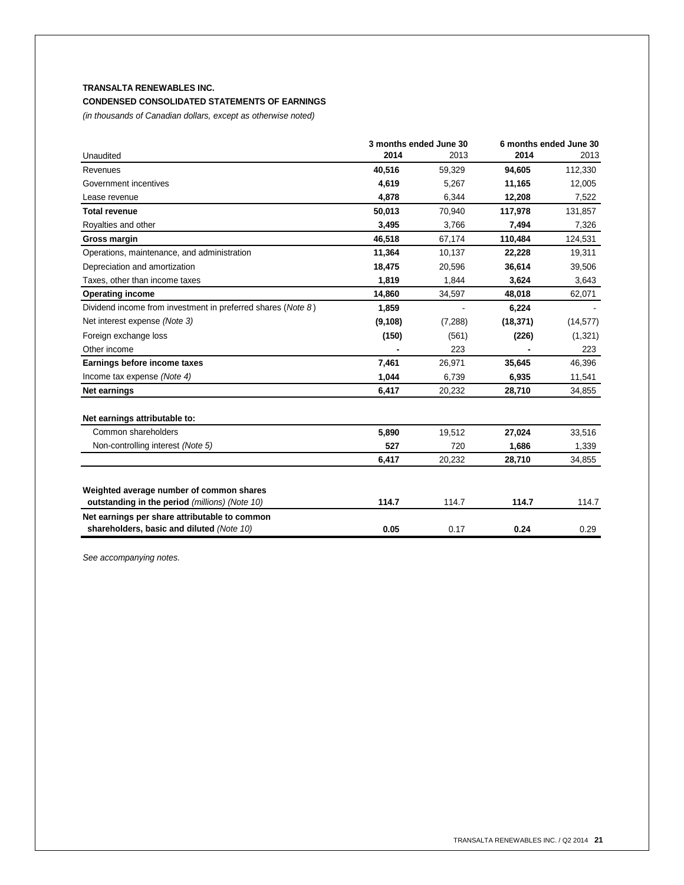# **TRANSALTA RENEWABLES INC. CONDENSED CONSOLIDATED STATEMENTS OF EARNINGS**

*(in thousands of Canadian dollars, except as otherwise noted)*

|                                                                                            | 3 months ended June 30 |          | 6 months ended June 30 |           |
|--------------------------------------------------------------------------------------------|------------------------|----------|------------------------|-----------|
| Unaudited                                                                                  | 2014                   | 2013     | 2014                   | 2013      |
| Revenues                                                                                   | 40,516                 | 59,329   | 94,605                 | 112,330   |
| Government incentives                                                                      | 4,619                  | 5,267    | 11,165                 | 12,005    |
| Lease revenue                                                                              | 4,878                  | 6,344    | 12,208                 | 7,522     |
| <b>Total revenue</b>                                                                       | 50,013                 | 70,940   | 117,978                | 131,857   |
| Royalties and other                                                                        | 3,495                  | 3,766    | 7,494                  | 7,326     |
| Gross margin                                                                               | 46.518                 | 67,174   | 110,484                | 124,531   |
| Operations, maintenance, and administration                                                | 11,364                 | 10,137   | 22,228                 | 19,311    |
| Depreciation and amortization                                                              | 18,475                 | 20,596   | 36,614                 | 39,506    |
| Taxes, other than income taxes                                                             | 1,819                  | 1,844    | 3,624                  | 3,643     |
| <b>Operating income</b>                                                                    | 14,860                 | 34,597   | 48,018                 | 62,071    |
| Dividend income from investment in preferred shares (Note 8)                               | 1,859                  |          | 6,224                  |           |
| Net interest expense (Note 3)                                                              | (9, 108)               | (7, 288) | (18, 371)              | (14, 577) |
| Foreign exchange loss                                                                      | (150)                  | (561)    | (226)                  | (1,321)   |
| Other income                                                                               |                        | 223      |                        | 223       |
| Earnings before income taxes                                                               | 7,461                  | 26,971   | 35,645                 | 46,396    |
| Income tax expense (Note 4)                                                                | 1,044                  | 6,739    | 6,935                  | 11,541    |
| Net earnings                                                                               | 6,417                  | 20,232   | 28,710                 | 34,855    |
| Net earnings attributable to:                                                              |                        |          |                        |           |
| Common shareholders                                                                        | 5,890                  | 19,512   | 27,024                 | 33,516    |
| Non-controlling interest (Note 5)                                                          | 527                    | 720      | 1,686                  | 1,339     |
|                                                                                            | 6,417                  | 20,232   | 28,710                 | 34,855    |
| Weighted average number of common shares                                                   |                        |          |                        |           |
| outstanding in the period (millions) (Note 10)                                             | 114.7                  | 114.7    | 114.7                  | 114.7     |
| Net earnings per share attributable to common<br>shareholders, basic and diluted (Note 10) | 0.05                   | 0.17     | 0.24                   | 0.29      |
|                                                                                            |                        |          |                        |           |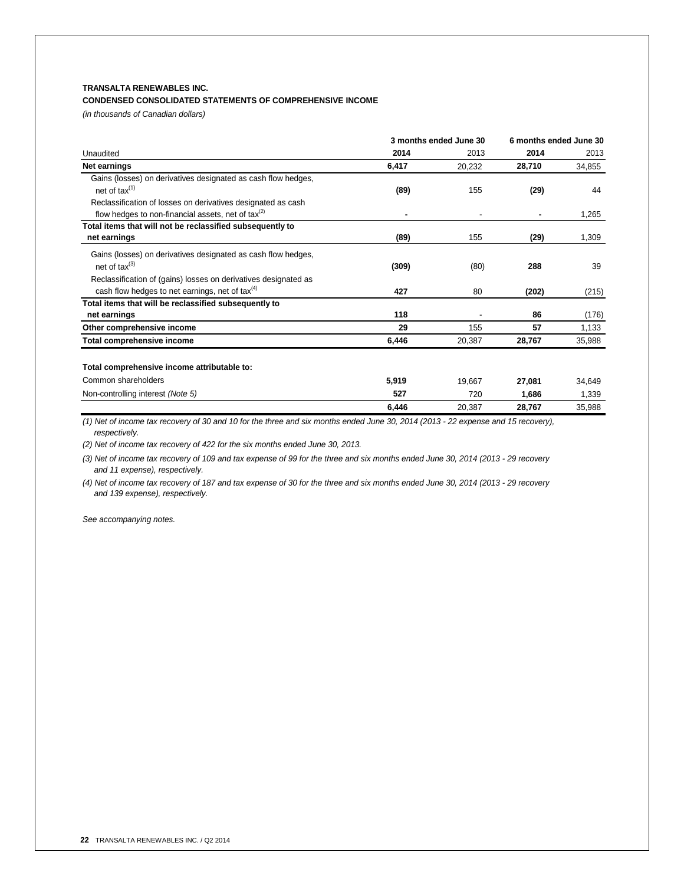# **TRANSALTA RENEWABLES INC.**

## **CONDENSED CONSOLIDATED STATEMENTS OF COMPREHENSIVE INCOME**

*(in thousands of Canadian dollars)*

|                                                                 | 3 months ended June 30 |                | 6 months ended June 30 |        |
|-----------------------------------------------------------------|------------------------|----------------|------------------------|--------|
| Unaudited                                                       | 2014                   | 2013           | 2014                   | 2013   |
| Net earnings                                                    | 6,417                  | 20,232         | 28,710                 | 34,855 |
| Gains (losses) on derivatives designated as cash flow hedges,   |                        |                |                        |        |
| net of tax $(1)$                                                | (89)                   | 155            | (29)                   | 44     |
| Reclassification of losses on derivatives designated as cash    |                        |                |                        |        |
| flow hedges to non-financial assets, net of $\text{tax}^{(2)}$  | ٠                      | $\blacksquare$ |                        | 1,265  |
| Total items that will not be reclassified subsequently to       |                        |                |                        |        |
| net earnings                                                    | (89)                   | 155            | (29)                   | 1,309  |
| Gains (losses) on derivatives designated as cash flow hedges,   |                        |                |                        |        |
| net of $\text{tax}^{(3)}$                                       | (309)                  | (80)           | 288                    | 39     |
| Reclassification of (gains) losses on derivatives designated as |                        |                |                        |        |
| cash flow hedges to net earnings, net of tax $(4)$              | 427                    | 80             | (202)                  | (215)  |
| Total items that will be reclassified subsequently to           |                        |                |                        |        |
| net earnings                                                    | 118                    |                | 86                     | (176)  |
| Other comprehensive income                                      | 29                     | 155            | 57                     | 1,133  |
| Total comprehensive income                                      | 6,446                  | 20,387         | 28,767                 | 35,988 |
| Total comprehensive income attributable to:                     |                        |                |                        |        |
| Common shareholders                                             | 5,919                  | 19,667         | 27,081                 | 34,649 |
| Non-controlling interest (Note 5)                               | 527                    | 720            | 1,686                  | 1,339  |
|                                                                 | 6,446                  | 20,387         | 28,767                 | 35,988 |

*(1) Net of income tax recovery of 30 and 10 for the three and six months ended June 30, 2014 (2013 - 22 expense and 15 recovery), respectively.*

*(2) Net of income tax recovery of 422 for the six months ended June 30, 2013.*

*(3) Net of income tax recovery of 109 and tax expense of 99 for the three and six months ended June 30, 2014 (2013 - 29 recovery and 11 expense), respectively.*

*(4) Net of income tax recovery of 187 and tax expense of 30 for the three and six months ended June 30, 2014 (2013 - 29 recovery and 139 expense), respectively.*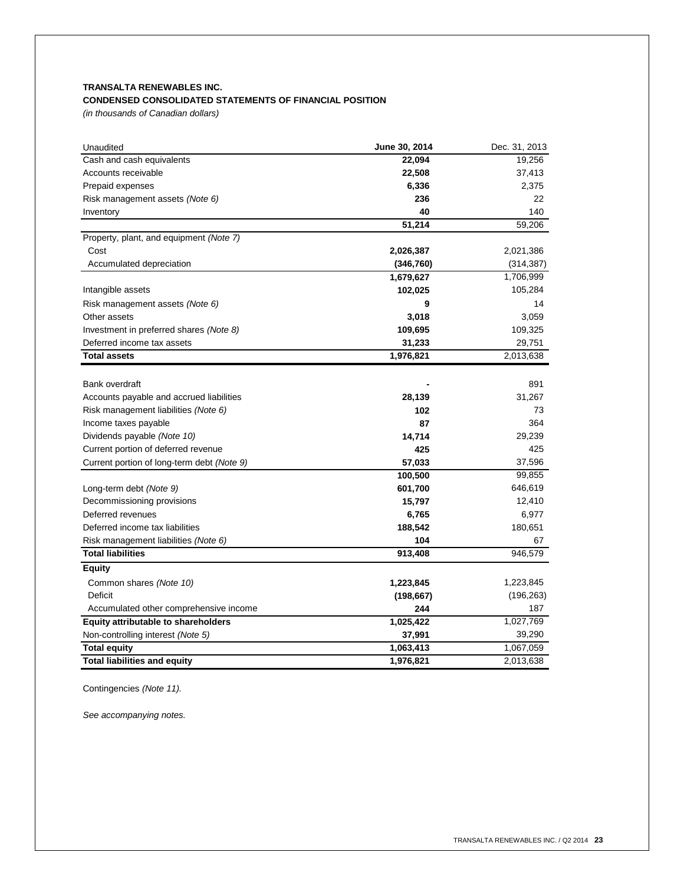# **TRANSALTA RENEWABLES INC. CONDENSED CONSOLIDATED STATEMENTS OF FINANCIAL POSITION**

*(in thousands of Canadian dollars)*

| Unaudited                                  | June 30, 2014 | Dec. 31, 2013 |
|--------------------------------------------|---------------|---------------|
| Cash and cash equivalents                  | 22,094        | 19,256        |
| Accounts receivable                        | 22,508        | 37,413        |
| Prepaid expenses                           | 6,336         | 2,375         |
| Risk management assets (Note 6)            | 236           | 22            |
| Inventory                                  | 40            | 140           |
|                                            | 51,214        | 59,206        |
| Property, plant, and equipment (Note 7)    |               |               |
| Cost                                       | 2,026,387     | 2,021,386     |
| Accumulated depreciation                   | (346, 760)    | (314, 387)    |
|                                            | 1,679,627     | 1,706,999     |
| Intangible assets                          | 102,025       | 105,284       |
| Risk management assets (Note 6)            | 9             | 14            |
| Other assets                               | 3,018         | 3,059         |
| Investment in preferred shares (Note 8)    | 109,695       | 109,325       |
| Deferred income tax assets                 | 31,233        | 29,751        |
| <b>Total assets</b>                        | 1,976,821     | 2,013,638     |
|                                            |               |               |
| <b>Bank overdraft</b>                      |               | 891           |
| Accounts payable and accrued liabilities   | 28,139        | 31,267        |
| Risk management liabilities (Note 6)       | 102           | 73            |
| Income taxes payable                       | 87            | 364           |
| Dividends payable (Note 10)                | 14,714        | 29,239        |
| Current portion of deferred revenue        | 425           | 425           |
| Current portion of long-term debt (Note 9) | 57,033        | 37,596        |
|                                            | 100,500       | 99,855        |
| Long-term debt (Note 9)                    | 601,700       | 646,619       |
| Decommissioning provisions                 | 15,797        | 12,410        |
| Deferred revenues                          | 6,765         | 6,977         |
| Deferred income tax liabilities            | 188,542       | 180,651       |
| Risk management liabilities (Note 6)       | 104           | 67            |
| <b>Total liabilities</b>                   | 913,408       | 946,579       |
| <b>Equity</b>                              |               |               |
| Common shares (Note 10)                    | 1,223,845     | 1,223,845     |
| Deficit                                    | (198, 667)    | (196, 263)    |
| Accumulated other comprehensive income     | 244           | 187           |
| Equity attributable to shareholders        | 1,025,422     | 1,027,769     |
| Non-controlling interest (Note 5)          | 37,991        | 39,290        |
| <b>Total equity</b>                        | 1,063,413     | 1,067,059     |
| <b>Total liabilities and equity</b>        | 1,976,821     | 2,013,638     |

Contingencies *(Note 11).*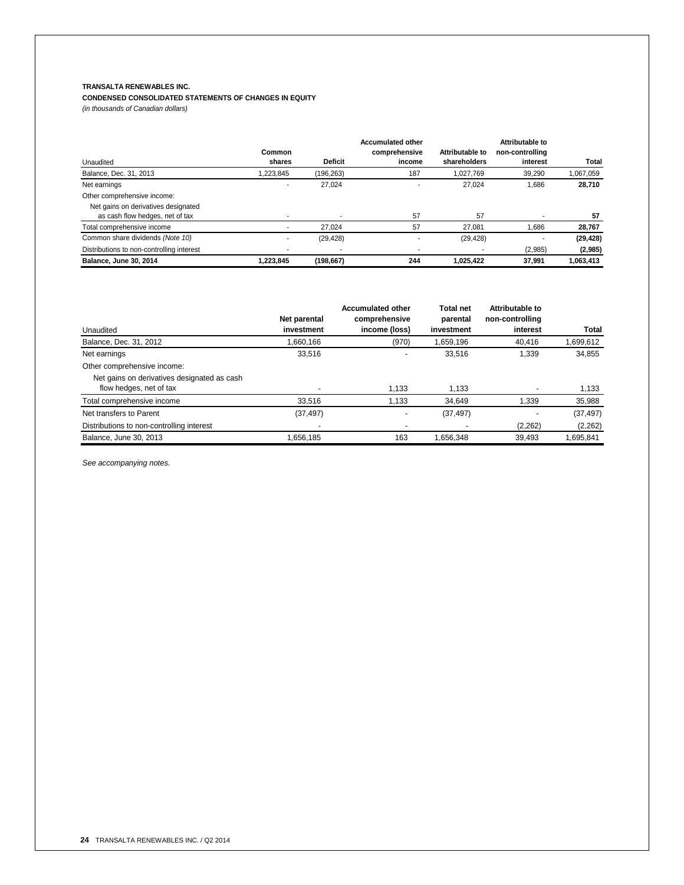# **TRANSALTA RENEWABLES INC.**

## **CONDENSED CONSOLIDATED STATEMENTS OF CHANGES IN EQUITY** *(in thousands of Canadian dollars)*

|                                           |                          |                | <b>Accumulated other</b> |                 | Attributable to |           |
|-------------------------------------------|--------------------------|----------------|--------------------------|-----------------|-----------------|-----------|
|                                           | Common                   |                | comprehensive            | Attributable to | non-controlling |           |
| Unaudited                                 | shares                   | <b>Deficit</b> | income                   | shareholders    | interest        | Total     |
| Balance, Dec. 31, 2013                    | 1.223.845                | (196,263)      | 187                      | 1.027.769       | 39.290          | 1,067,059 |
| Net earnings                              | $\overline{\phantom{a}}$ | 27.024         |                          | 27.024          | 1.686           | 28,710    |
| Other comprehensive income:               |                          |                |                          |                 |                 |           |
| Net gains on derivatives designated       |                          |                |                          |                 |                 |           |
| as cash flow hedges, net of tax           |                          |                | 57                       | 57              |                 | 57        |
| Total comprehensive income                |                          | 27.024         | 57                       | 27.081          | 1.686           | 28,767    |
| Common share dividends (Note 10)          |                          | (29, 428)      |                          | (29, 428)       |                 | (29, 428) |
| Distributions to non-controlling interest |                          |                |                          |                 | (2,985)         | (2,985)   |
| <b>Balance, June 30, 2014</b>             | 1.223.845                | (198, 667)     | 244                      | 1,025,422       | 37.991          | 1,063,413 |

|                                                                        | Net parental | <b>Accumulated other</b><br>comprehensive | <b>Total net</b><br>parental | Attributable to<br>non-controlling |           |
|------------------------------------------------------------------------|--------------|-------------------------------------------|------------------------------|------------------------------------|-----------|
| Unaudited                                                              | investment   | income (loss)                             | investment                   | interest                           | Total     |
| Balance, Dec. 31, 2012                                                 | 1,660,166    | (970)                                     | 1,659,196                    | 40,416                             | 1,699,612 |
| Net earnings                                                           | 33,516       | $\overline{\phantom{0}}$                  | 33.516                       | 1.339                              | 34,855    |
| Other comprehensive income:                                            |              |                                           |                              |                                    |           |
| Net gains on derivatives designated as cash<br>flow hedges, net of tax |              | 1.133                                     | 1,133                        |                                    | 1,133     |
| Total comprehensive income                                             | 33.516       | 1.133                                     | 34.649                       | 1,339                              | 35,988    |
| Net transfers to Parent                                                | (37, 497)    |                                           | (37, 497)                    |                                    | (37, 497) |
| Distributions to non-controlling interest                              |              |                                           |                              | (2,262)                            | (2,262)   |
| Balance, June 30, 2013                                                 | 1.656.185    | 163                                       | 1.656.348                    | 39.493                             | 1.695.841 |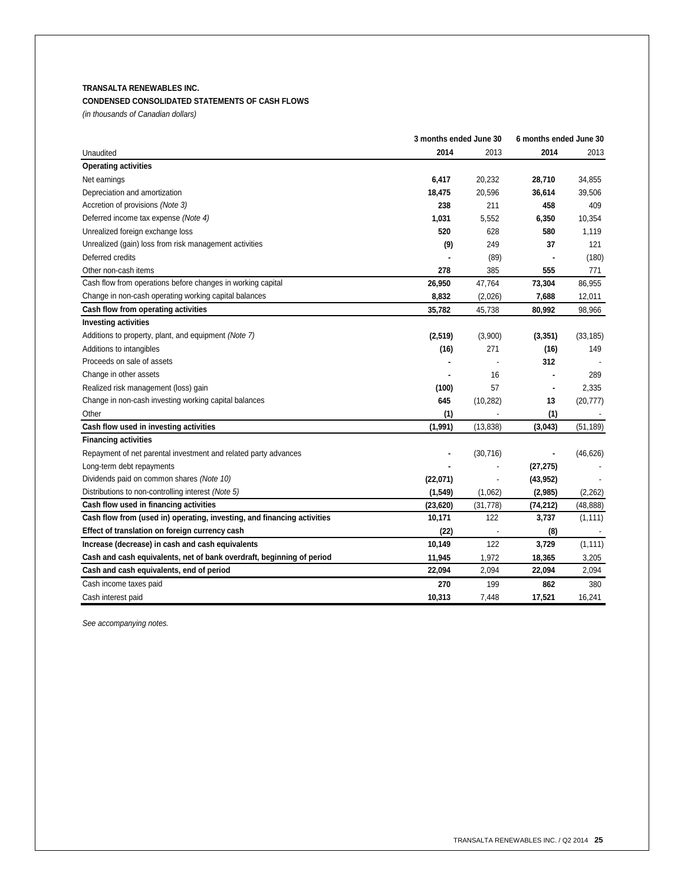# **TRANSALTA RENEWABLES INC.**

# **CONDENSED CONSOLIDATED STATEMENTS OF CASH FLOWS**

*(in thousands of Canadian dollars)*

|                                                                         | 3 months ended June 30 | 6 months ended June 30   |                |           |
|-------------------------------------------------------------------------|------------------------|--------------------------|----------------|-----------|
| Unaudited                                                               | 2014                   | 2013                     | 2014           | 2013      |
| <b>Operating activities</b>                                             |                        |                          |                |           |
| Net earnings                                                            | 6,417                  | 20,232                   | 28,710         | 34,855    |
| Depreciation and amortization                                           | 18,475                 | 20,596                   | 36,614         | 39,506    |
| Accretion of provisions (Note 3)                                        | 238                    | 211                      | 458            | 409       |
| Deferred income tax expense (Note 4)                                    | 1,031                  | 5,552                    | 6,350          | 10,354    |
| Unrealized foreign exchange loss                                        | 520                    | 628                      | 580            | 1,119     |
| Unrealized (gain) loss from risk management activities                  | (9)                    | 249                      | 37             | 121       |
| Deferred credits                                                        |                        | (89)                     |                | (180)     |
| Other non-cash items                                                    | 278                    | 385                      | 555            | 771       |
| Cash flow from operations before changes in working capital             | 26,950                 | 47,764                   | 73,304         | 86,955    |
| Change in non-cash operating working capital balances                   | 8,832                  | (2,026)                  | 7,688          | 12,011    |
| Cash flow from operating activities                                     | 35,782                 | 45,738                   | 80,992         | 98,966    |
| <b>Investing activities</b>                                             |                        |                          |                |           |
| Additions to property, plant, and equipment (Note 7)                    | (2, 519)               | (3,900)                  | (3, 351)       | (33, 185) |
| Additions to intangibles                                                | (16)                   | 271                      | (16)           | 149       |
| Proceeds on sale of assets                                              |                        |                          | 312            |           |
| Change in other assets                                                  |                        | 16                       |                | 289       |
| Realized risk management (loss) gain                                    | (100)                  | 57                       | $\blacksquare$ | 2,335     |
| Change in non-cash investing working capital balances                   | 645                    | (10, 282)                | 13             | (20, 777) |
| Other                                                                   | (1)                    |                          | (1)            |           |
| Cash flow used in investing activities                                  | (1, 991)               | (13, 838)                | (3,043)        | (51, 189) |
| <b>Financing activities</b>                                             |                        |                          |                |           |
| Repayment of net parental investment and related party advances         |                        | (30, 716)                |                | (46, 626) |
| Long-term debt repayments                                               |                        |                          | (27, 275)      |           |
| Dividends paid on common shares (Note 10)                               | (22,071)               |                          | (43, 952)      |           |
| Distributions to non-controlling interest (Note 5)                      | (1, 549)               | (1,062)                  | (2,985)        | (2,262)   |
| Cash flow used in financing activities                                  | (23, 620)              | (31, 778)                | (74, 212)      | (48, 888) |
| Cash flow from (used in) operating, investing, and financing activities | 10,171                 | 122                      | 3,737          | (1, 111)  |
| Effect of translation on foreign currency cash                          | (22)                   | $\overline{\phantom{a}}$ | (8)            |           |
| Increase (decrease) in cash and cash equivalents                        | 10,149                 | 122                      | 3,729          | (1, 111)  |
| Cash and cash equivalents, net of bank overdraft, beginning of period   | 11,945                 | 1,972                    | 18,365         | 3,205     |
| Cash and cash equivalents, end of period                                | 22,094                 | 2,094                    | 22,094         | 2,094     |
| Cash income taxes paid                                                  | 270                    | 199                      | 862            | 380       |
| Cash interest paid                                                      | 10,313                 | 7,448                    | 17,521         | 16,241    |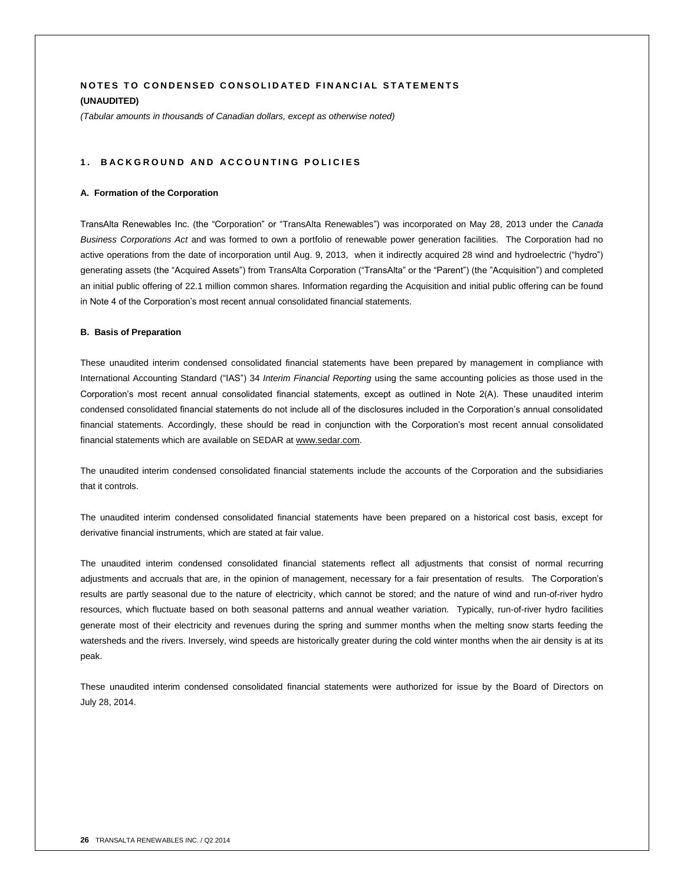# **NOTES TO CONDENSED CONSOLIDATED FINANCIAL STATEMENTS (UNAUDITED)**

*(Tabular amounts in thousands of Canadian dollars, except as otherwise noted)*

## 1. BACKGROUND AND ACCOUNTING POLICIES

#### **A. Formation of the Corporation**

TransAlta Renewables Inc. (the "Corporation" or "TransAlta Renewables") was incorporated on May 28, 2013 under the *Canada Business Corporations Act* and was formed to own a portfolio of renewable power generation facilities. The Corporation had no active operations from the date of incorporation until Aug. 9, 2013, when it indirectly acquired 28 wind and hydroelectric ("hydro") generating assets (the "Acquired Assets") from TransAlta Corporation ("TransAlta" or the "Parent") (the "Acquisition") and completed an initial public offering of 22.1 million common shares. Information regarding the Acquisition and initial public offering can be found in Note 4 of the Corporation's most recent annual consolidated financial statements.

#### **B. Basis of Preparation**

These unaudited interim condensed consolidated financial statements have been prepared by management in compliance with International Accounting Standard ("IAS") 34 *Interim Financial Reporting* using the same accounting policies as those used in the Corporation's most recent annual consolidated financial statements, except as outlined in Note 2(A). These unaudited interim condensed consolidated financial statements do not include all of the disclosures included in the Corporation's annual consolidated financial statements. Accordingly, these should be read in conjunction with the Corporation's most recent annual consolidated financial statements which are available on SEDAR at www.sedar.com.

The unaudited interim condensed consolidated financial statements include the accounts of the Corporation and the subsidiaries that it controls.

The unaudited interim condensed consolidated financial statements have been prepared on a historical cost basis, except for derivative financial instruments, which are stated at fair value.

The unaudited interim condensed consolidated financial statements reflect all adjustments that consist of normal recurring adjustments and accruals that are, in the opinion of management, necessary for a fair presentation of results. The Corporation's results are partly seasonal due to the nature of electricity, which cannot be stored; and the nature of wind and run-of-river hydro resources, which fluctuate based on both seasonal patterns and annual weather variation. Typically, run-of-river hydro facilities generate most of their electricity and revenues during the spring and summer months when the melting snow starts feeding the watersheds and the rivers. Inversely, wind speeds are historically greater during the cold winter months when the air density is at its peak.

These unaudited interim condensed consolidated financial statements were authorized for issue by the Board of Directors on July 28, 2014.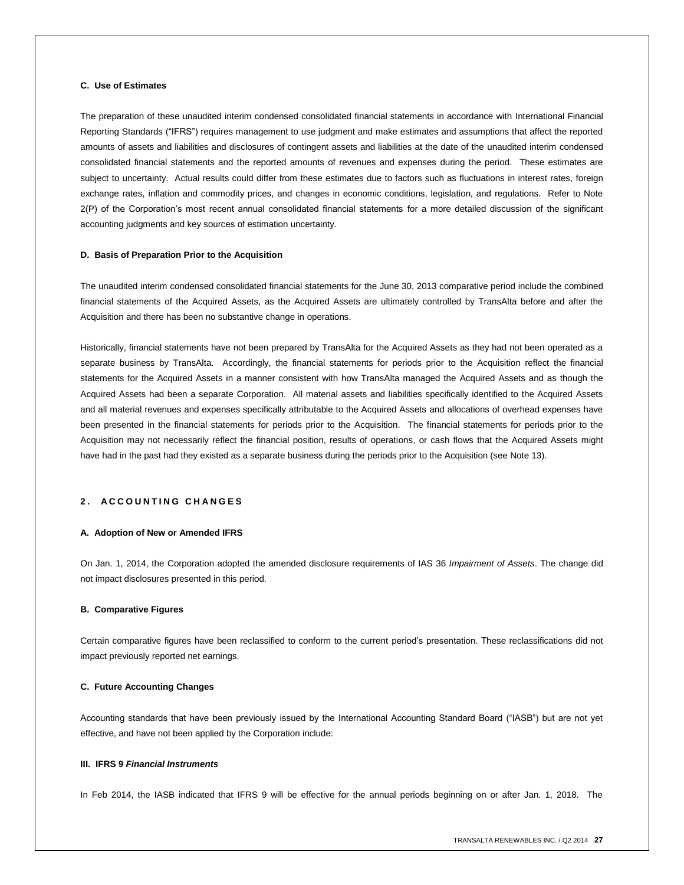# **C. Use of Estimates**

The preparation of these unaudited interim condensed consolidated financial statements in accordance with International Financial Reporting Standards ("IFRS") requires management to use judgment and make estimates and assumptions that affect the reported amounts of assets and liabilities and disclosures of contingent assets and liabilities at the date of the unaudited interim condensed consolidated financial statements and the reported amounts of revenues and expenses during the period. These estimates are subject to uncertainty. Actual results could differ from these estimates due to factors such as fluctuations in interest rates, foreign exchange rates, inflation and commodity prices, and changes in economic conditions, legislation, and regulations. Refer to Note 2(P) of the Corporation's most recent annual consolidated financial statements for a more detailed discussion of the significant accounting judgments and key sources of estimation uncertainty.

#### **D. Basis of Preparation Prior to the Acquisition**

The unaudited interim condensed consolidated financial statements for the June 30, 2013 comparative period include the combined financial statements of the Acquired Assets, as the Acquired Assets are ultimately controlled by TransAlta before and after the Acquisition and there has been no substantive change in operations.

Historically, financial statements have not been prepared by TransAlta for the Acquired Assets as they had not been operated as a separate business by TransAlta. Accordingly, the financial statements for periods prior to the Acquisition reflect the financial statements for the Acquired Assets in a manner consistent with how TransAlta managed the Acquired Assets and as though the Acquired Assets had been a separate Corporation. All material assets and liabilities specifically identified to the Acquired Assets and all material revenues and expenses specifically attributable to the Acquired Assets and allocations of overhead expenses have been presented in the financial statements for periods prior to the Acquisition. The financial statements for periods prior to the Acquisition may not necessarily reflect the financial position, results of operations, or cash flows that the Acquired Assets might have had in the past had they existed as a separate business during the periods prior to the Acquisition (see Note 13).

# **2 . A C C O U N T I N G C H A N G E S**

#### **A. Adoption of New or Amended IFRS**

On Jan. 1, 2014, the Corporation adopted the amended disclosure requirements of IAS 36 *Impairment of Assets*. The change did not impact disclosures presented in this period.

#### **B. Comparative Figures**

Certain comparative figures have been reclassified to conform to the current period's presentation. These reclassifications did not impact previously reported net earnings.

## **C. Future Accounting Changes**

Accounting standards that have been previously issued by the International Accounting Standard Board ("IASB") but are not yet effective, and have not been applied by the Corporation include:

#### **III. IFRS 9** *Financial Instruments*

In Feb 2014, the IASB indicated that IFRS 9 will be effective for the annual periods beginning on or after Jan. 1, 2018. The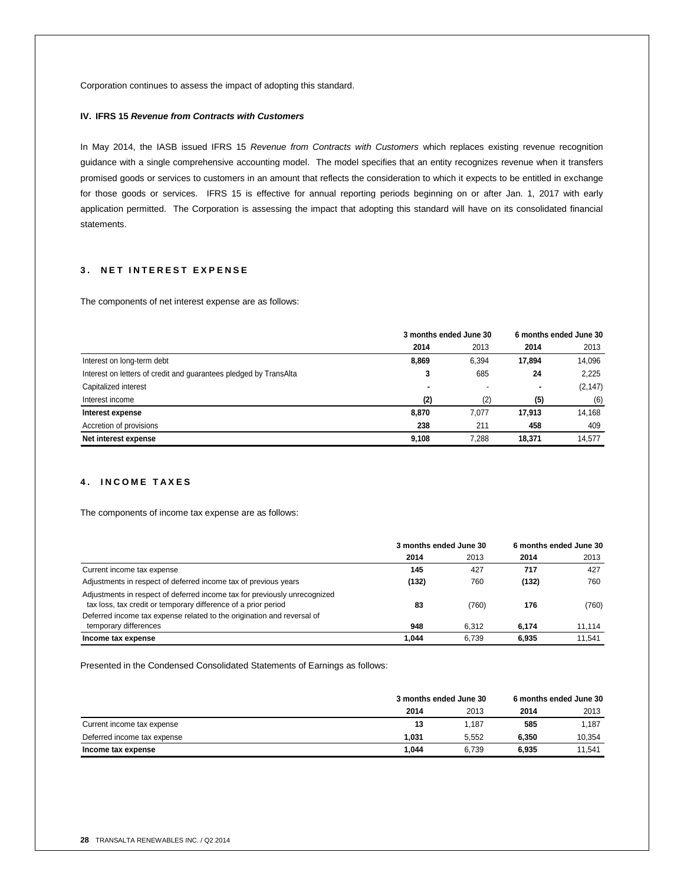Corporation continues to assess the impact of adopting this standard.

## **IV. IFRS 15** *Revenue from Contracts with Customers*

In May 2014, the IASB issued IFRS 15 *Revenue from Contracts with Customers* which replaces existing revenue recognition guidance with a single comprehensive accounting model. The model specifies that an entity recognizes revenue when it transfers promised goods or services to customers in an amount that reflects the consideration to which it expects to be entitled in exchange for those goods or services. IFRS 15 is effective for annual reporting periods beginning on or after Jan. 1, 2017 with early application permitted. The Corporation is assessing the impact that adopting this standard will have on its consolidated financial statements.

# **3 . N E T I N T E R E S T E X P E N S E**

The components of net interest expense are as follows:

|                                                                   | 3 months ended June 30 |       | 6 months ended June 30 |          |
|-------------------------------------------------------------------|------------------------|-------|------------------------|----------|
|                                                                   | 2014                   | 2013  | 2014                   | 2013     |
| Interest on long-term debt                                        | 8,869                  | 6,394 | 17,894                 | 14.096   |
| Interest on letters of credit and quarantees pledged by TransAlta | 3                      | 685   | 24                     | 2.225    |
| Capitalized interest                                              |                        |       | ٠                      | (2, 147) |
| Interest income                                                   | (2)                    | (2)   | (5)                    | (6)      |
| Interest expense                                                  | 8,870                  | 7.077 | 17,913                 | 14,168   |
| Accretion of provisions                                           | 238                    | 211   | 458                    | 409      |
| Net interest expense                                              | 9.108                  | 7.288 | 18,371                 | 14.577   |

# **4 . I N C O M E T A X E S**

The components of income tax expense are as follows:

|                                                                                                                                             | 3 months ended June 30 |       | 6 months ended June 30 |        |
|---------------------------------------------------------------------------------------------------------------------------------------------|------------------------|-------|------------------------|--------|
|                                                                                                                                             | 2014                   | 2013  | 2014                   | 2013   |
| Current income tax expense                                                                                                                  | 145                    | 427   | 717                    | 427    |
| Adjustments in respect of deferred income tax of previous years                                                                             | (132)                  | 760   | (132)                  | 760    |
| Adjustments in respect of deferred income tax for previously unrecognized<br>tax loss, tax credit or temporary difference of a prior period | 83                     | (760) | 176                    | (760)  |
| Deferred income tax expense related to the origination and reversal of                                                                      |                        |       |                        |        |
| temporary differences                                                                                                                       | 948                    | 6.312 | 6.174                  | 11.114 |
| Income tax expense                                                                                                                          | 1.044                  | 6.739 | 6.935                  | 11.541 |

Presented in the Condensed Consolidated Statements of Earnings as follows:

|                             | 3 months ended June 30 |       | 6 months ended June 30 |        |
|-----------------------------|------------------------|-------|------------------------|--------|
|                             | 2014                   | 2013  | 2014                   | 2013   |
| Current income tax expense  | 13                     | 1.187 | 585                    | 1.187  |
| Deferred income tax expense | 1.031                  | 5.552 | 6.350                  | 10.354 |
| Income tax expense          | 1.044                  | 6.739 | 6.935                  | 11.541 |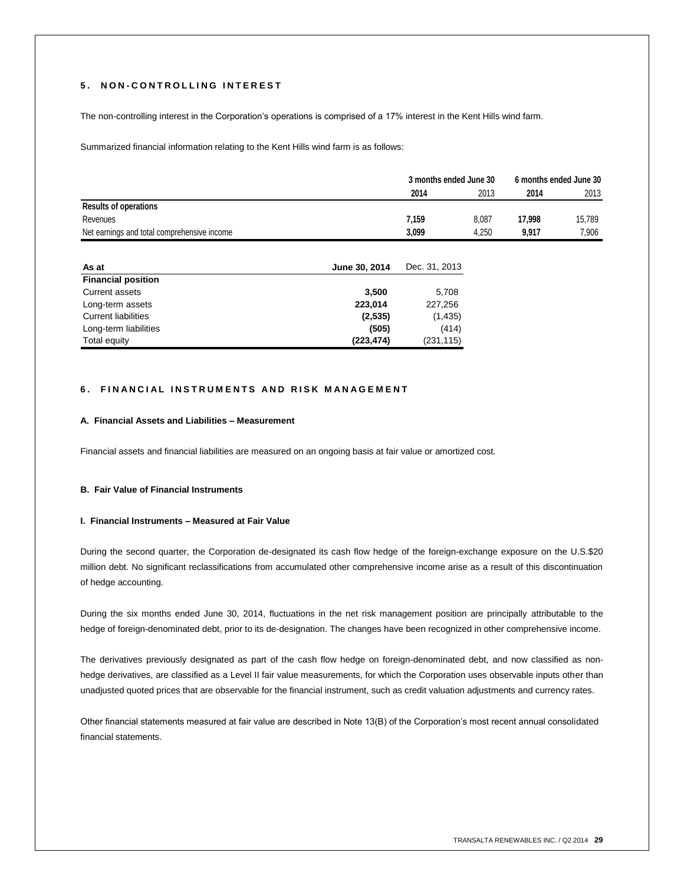# **5 . N O N - C O N T R O L L I N G I N T E R E S T**

The non-controlling interest in the Corporation's operations is comprised of a 17% interest in the Kent Hills wind farm.

Summarized financial information relating to the Kent Hills wind farm is as follows:

|                                             |       | 3 months ended June 30 |        | 6 months ended June 30 |  |
|---------------------------------------------|-------|------------------------|--------|------------------------|--|
|                                             | 2014  | 2013                   | 2014   | 2013                   |  |
| <b>Results of operations</b>                |       |                        |        |                        |  |
| Revenues                                    | 7.159 | 8.087                  | 17.998 | 15.789                 |  |
| Net earnings and total comprehensive income | 3.099 | 4.250                  | 9.917  | 7.906                  |  |

| As at                      | June 30, 2014 | Dec. 31, 2013 |
|----------------------------|---------------|---------------|
| <b>Financial position</b>  |               |               |
| <b>Current assets</b>      | 3.500         | 5,708         |
| Long-term assets           | 223.014       | 227.256       |
| <b>Current liabilities</b> | (2,535)       | (1, 435)      |
| Long-term liabilities      | (505)         | (414)         |
| Total equity               | (223, 474)    | (231, 115)    |

# **6. FINANCIAL INSTRUMENTS AND RISK MANAGEMENT**

#### **A. Financial Assets and Liabilities – Measurement**

Financial assets and financial liabilities are measured on an ongoing basis at fair value or amortized cost.

#### **B. Fair Value of Financial Instruments**

## **I. Financial Instruments – Measured at Fair Value**

During the second quarter, the Corporation de-designated its cash flow hedge of the foreign-exchange exposure on the U.S.\$20 million debt. No significant reclassifications from accumulated other comprehensive income arise as a result of this discontinuation of hedge accounting.

During the six months ended June 30, 2014, fluctuations in the net risk management position are principally attributable to the hedge of foreign-denominated debt, prior to its de-designation. The changes have been recognized in other comprehensive income.

The derivatives previously designated as part of the cash flow hedge on foreign-denominated debt, and now classified as nonhedge derivatives, are classified as a Level II fair value measurements, for which the Corporation uses observable inputs other than unadjusted quoted prices that are observable for the financial instrument, such as credit valuation adjustments and currency rates.

Other financial statements measured at fair value are described in Note 13(B) of the Corporation's most recent annual consolidated financial statements.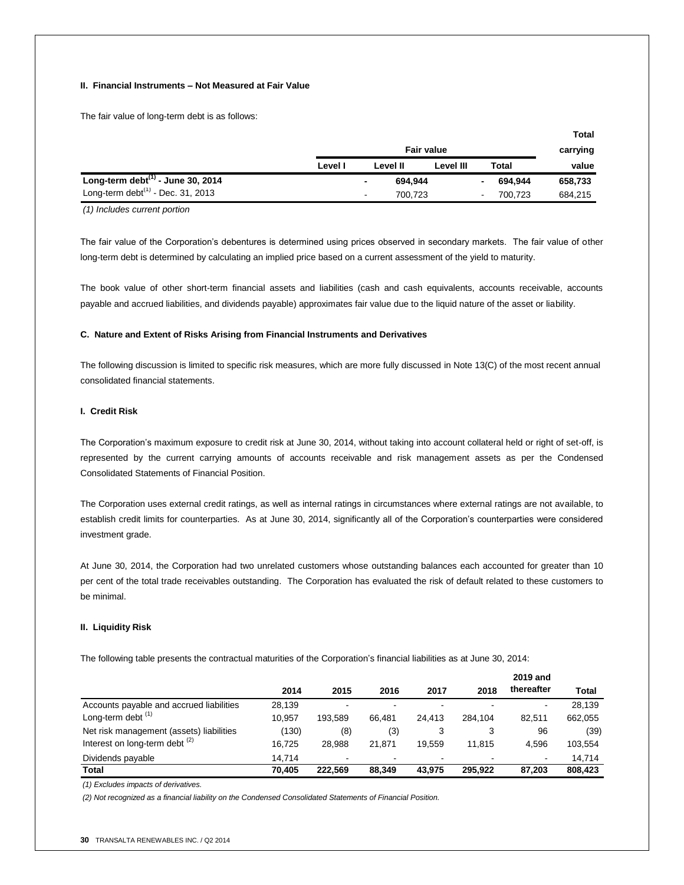## **II. Financial Instruments – Not Measured at Fair Value**

The fair value of long-term debt is as follows:

|                                         |                   |   |          |           |                |          | <b>Total</b> |
|-----------------------------------------|-------------------|---|----------|-----------|----------------|----------|--------------|
|                                         | <b>Fair value</b> |   |          |           |                | carrying |              |
|                                         | Level I           |   | Level II | Level III |                | Total    | value        |
| Long-term debt $^{(1)}$ - June 30, 2014 |                   | ٠ | 694.944  |           | $\blacksquare$ | 694,944  | 658,733      |
| Long-term debt $(1)$ - Dec. 31, 2013    |                   | ٠ | 700.723  |           | $\blacksquare$ | 700.723  | 684,215      |

*(1) Includes current portion*

The fair value of the Corporation's debentures is determined using prices observed in secondary markets. The fair value of other long-term debt is determined by calculating an implied price based on a current assessment of the yield to maturity.

The book value of other short-term financial assets and liabilities (cash and cash equivalents, accounts receivable, accounts payable and accrued liabilities, and dividends payable) approximates fair value due to the liquid nature of the asset or liability.

#### **C. Nature and Extent of Risks Arising from Financial Instruments and Derivatives**

The following discussion is limited to specific risk measures, which are more fully discussed in Note 13(C) of the most recent annual consolidated financial statements.

# **I. Credit Risk**

The Corporation's maximum exposure to credit risk at June 30, 2014, without taking into account collateral held or right of set-off, is represented by the current carrying amounts of accounts receivable and risk management assets as per the Condensed Consolidated Statements of Financial Position.

The Corporation uses external credit ratings, as well as internal ratings in circumstances where external ratings are not available, to establish credit limits for counterparties. As at June 30, 2014, significantly all of the Corporation's counterparties were considered investment grade.

At June 30, 2014, the Corporation had two unrelated customers whose outstanding balances each accounted for greater than 10 per cent of the total trade receivables outstanding. The Corporation has evaluated the risk of default related to these customers to be minimal.

### **II. Liquidity Risk**

The following table presents the contractual maturities of the Corporation's financial liabilities as at June 30, 2014:

|                                           |        |         |        |        |         | 2019 and                 |         |
|-------------------------------------------|--------|---------|--------|--------|---------|--------------------------|---------|
|                                           | 2014   | 2015    | 2016   | 2017   | 2018    | thereafter               | Total   |
| Accounts payable and accrued liabilities  | 28.139 |         |        |        |         | $\overline{\phantom{a}}$ | 28.139  |
| Long-term debt <sup>(1)</sup>             | 10.957 | 193.589 | 66.481 | 24.413 | 284.104 | 82.511                   | 662,055 |
| Net risk management (assets) liabilities  | (130)  | (8)     | (3)    | 3      | 3       | 96                       | (39)    |
| Interest on long-term debt <sup>(2)</sup> | 16.725 | 28.988  | 21.871 | 19.559 | 11.815  | 4.596                    | 103,554 |
| Dividends payable                         | 14.714 |         |        |        |         | $\blacksquare$           | 14,714  |
| Total                                     | 70.405 | 222.569 | 88.349 | 43.975 | 295.922 | 87.203                   | 808,423 |

*(1) Excludes impacts of derivatives.*

*(2) Not recognized as a financial liability on the Condensed Consolidated Statements of Financial Position.*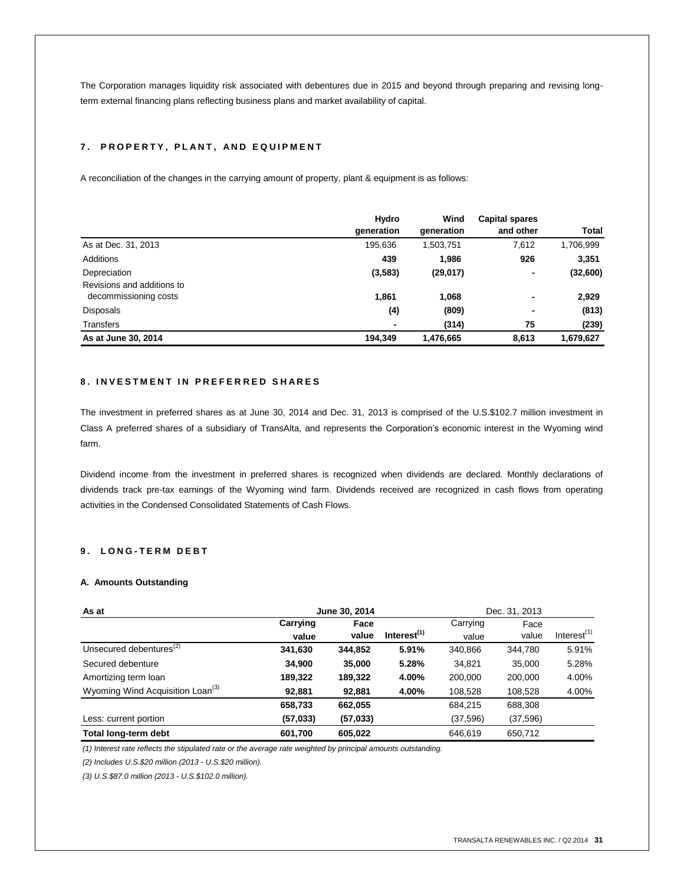The Corporation manages liquidity risk associated with debentures due in 2015 and beyond through preparing and revising longterm external financing plans reflecting business plans and market availability of capital.

# **7 . P R O P E R T Y , P L A N T , A N D E Q U I P M E N T**

A reconciliation of the changes in the carrying amount of property, plant & equipment is as follows:

|                            | Hydro          | Wind       | <b>Capital spares</b> |           |
|----------------------------|----------------|------------|-----------------------|-----------|
|                            | generation     | generation | and other             | Total     |
| As at Dec. 31, 2013        | 195,636        | 1,503,751  | 7,612                 | 1,706,999 |
| <b>Additions</b>           | 439            | 1,986      | 926                   | 3,351     |
| Depreciation               | (3,583)        | (29, 017)  | ٠                     | (32,600)  |
| Revisions and additions to |                |            |                       |           |
| decommissioning costs      | 1,861          | 1,068      | $\blacksquare$        | 2,929     |
| Disposals                  | (4)            | (809)      | $\blacksquare$        | (813)     |
| Transfers                  | $\blacksquare$ | (314)      | 75                    | (239)     |
| As at June 30, 2014        | 194.349        | 1,476,665  | 8.613                 | 1.679.627 |

# **8 . I N V E S T M E N T I N P R E F E R R E D S H A R E S**

The investment in preferred shares as at June 30, 2014 and Dec. 31, 2013 is comprised of the U.S.\$102.7 million investment in Class A preferred shares of a subsidiary of TransAlta, and represents the Corporation's economic interest in the Wyoming wind farm.

Dividend income from the investment in preferred shares is recognized when dividends are declared. Monthly declarations of dividends track pre-tax earnings of the Wyoming wind farm. Dividends received are recognized in cash flows from operating activities in the Condensed Consolidated Statements of Cash Flows.

# **9 . L O N G - T E R M D E B T**

#### **A. Amounts Outstanding**

| June 30, 2014<br>As at                       |          |           |                         |           | Dec. 31, 2013 |                |
|----------------------------------------------|----------|-----------|-------------------------|-----------|---------------|----------------|
|                                              | Carrying | Face      |                         | Carrying  | Face          |                |
|                                              | value    | value     | Interest <sup>(1)</sup> | value     | value         | Interest $(1)$ |
| Unsecured debentures <sup>(2)</sup>          | 341,630  | 344.852   | 5.91%                   | 340.866   | 344.780       | 5.91%          |
| Secured debenture                            | 34,900   | 35,000    | 5.28%                   | 34.821    | 35,000        | 5.28%          |
| Amortizing term loan                         | 189,322  | 189,322   | 4.00%                   | 200,000   | 200.000       | 4.00%          |
| Wyoming Wind Acquisition Loan <sup>(3)</sup> | 92,881   | 92,881    | 4.00%                   | 108,528   | 108,528       | 4.00%          |
|                                              | 658,733  | 662,055   |                         | 684,215   | 688,308       |                |
| Less: current portion                        | (57,033) | (57, 033) |                         | (37, 596) | (37, 596)     |                |
| Total long-term debt                         | 601.700  | 605.022   |                         | 646.619   | 650.712       |                |

*(1) Interest rate reflects the stipulated rate or the average rate weighted by principal amounts outstanding.*

*(2) Includes U.S.\$20 million (2013 - U.S.\$20 million).*

*(3) U.S.\$87.0 million (2013 - U.S.\$102.0 million).*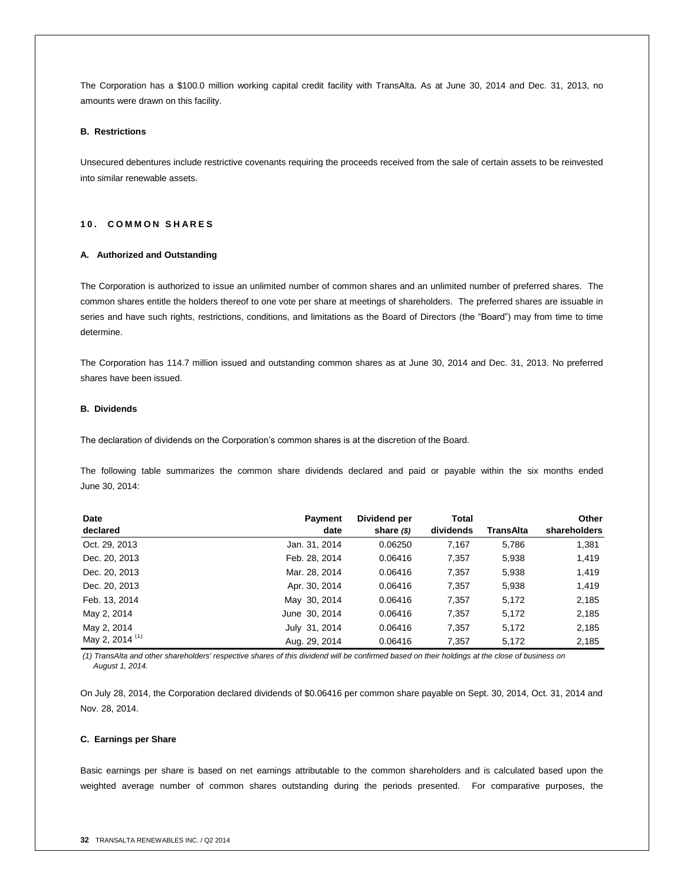The Corporation has a \$100.0 million working capital credit facility with TransAlta. As at June 30, 2014 and Dec. 31, 2013, no amounts were drawn on this facility.

#### **B. Restrictions**

Unsecured debentures include restrictive covenants requiring the proceeds received from the sale of certain assets to be reinvested into similar renewable assets.

## **1 0 . C O M M O N S H A R E S**

## **A. Authorized and Outstanding**

The Corporation is authorized to issue an unlimited number of common shares and an unlimited number of preferred shares. The common shares entitle the holders thereof to one vote per share at meetings of shareholders. The preferred shares are issuable in series and have such rights, restrictions, conditions, and limitations as the Board of Directors (the "Board") may from time to time determine.

The Corporation has 114.7 million issued and outstanding common shares as at June 30, 2014 and Dec. 31, 2013. No preferred shares have been issued.

## **B. Dividends**

The declaration of dividends on the Corporation's common shares is at the discretion of the Board.

The following table summarizes the common share dividends declared and paid or payable within the six months ended June 30, 2014:

| Date                       | <b>Payment</b> | Dividend per  | <b>Total</b> |           | Other        |
|----------------------------|----------------|---------------|--------------|-----------|--------------|
| declared                   | date           | share $($ \$) | dividends    | TransAlta | shareholders |
| Oct. 29, 2013              | Jan. 31, 2014  | 0.06250       | 7,167        | 5,786     | 1,381        |
| Dec. 20, 2013              | Feb. 28, 2014  | 0.06416       | 7,357        | 5,938     | 1,419        |
| Dec. 20, 2013              | Mar. 28, 2014  | 0.06416       | 7,357        | 5,938     | 1,419        |
| Dec. 20, 2013              | Apr. 30, 2014  | 0.06416       | 7,357        | 5,938     | 1,419        |
| Feb. 13, 2014              | May 30, 2014   | 0.06416       | 7,357        | 5,172     | 2,185        |
| May 2, 2014                | June 30, 2014  | 0.06416       | 7,357        | 5,172     | 2,185        |
| May 2, 2014                | July 31, 2014  | 0.06416       | 7,357        | 5,172     | 2,185        |
| May 2, 2014 <sup>(1)</sup> | Aug. 29, 2014  | 0.06416       | 7,357        | 5.172     | 2,185        |

*(1) TransAlta and other shareholders' respective shares of this dividend will be confirmed based on their holdings at the close of business on August 1, 2014.*

On July 28, 2014, the Corporation declared dividends of \$0.06416 per common share payable on Sept. 30, 2014, Oct. 31, 2014 and Nov. 28, 2014.

#### **C. Earnings per Share**

Basic earnings per share is based on net earnings attributable to the common shareholders and is calculated based upon the weighted average number of common shares outstanding during the periods presented. For comparative purposes, the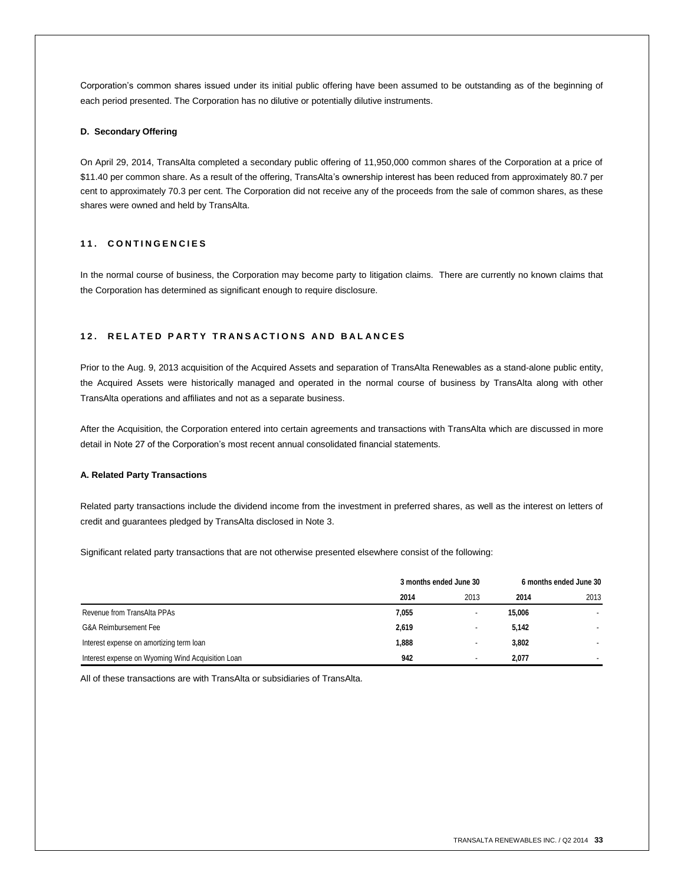Corporation's common shares issued under its initial public offering have been assumed to be outstanding as of the beginning of each period presented. The Corporation has no dilutive or potentially dilutive instruments.

# **D. Secondary Offering**

On April 29, 2014, TransAlta completed a secondary public offering of 11,950,000 common shares of the Corporation at a price of \$11.40 per common share. As a result of the offering, TransAlta's ownership interest has been reduced from approximately 80.7 per cent to approximately 70.3 per cent. The Corporation did not receive any of the proceeds from the sale of common shares, as these shares were owned and held by TransAlta.

# **1 1 . C O N T I N G E N C I E S**

In the normal course of business, the Corporation may become party to litigation claims. There are currently no known claims that the Corporation has determined as significant enough to require disclosure.

### **1 2 . R E L A T E D P A R T Y T R A N S A C T I O N S A N D B A L A N C E S**

Prior to the Aug. 9, 2013 acquisition of the Acquired Assets and separation of TransAlta Renewables as a stand-alone public entity, the Acquired Assets were historically managed and operated in the normal course of business by TransAlta along with other TransAlta operations and affiliates and not as a separate business.

After the Acquisition, the Corporation entered into certain agreements and transactions with TransAlta which are discussed in more detail in Note 27 of the Corporation's most recent annual consolidated financial statements.

### **A. Related Party Transactions**

Related party transactions include the dividend income from the investment in preferred shares, as well as the interest on letters of credit and guarantees pledged by TransAlta disclosed in Note 3.

Significant related party transactions that are not otherwise presented elsewhere consist of the following:

|                                                   | 3 months ended June 30 |                          | 6 months ended June 30 |      |
|---------------------------------------------------|------------------------|--------------------------|------------------------|------|
|                                                   | 2014                   | 2013                     | 2014                   | 2013 |
| Revenue from TransAlta PPAs                       | 7,055                  | ۰                        | 15,006                 |      |
| G&A Reimbursement Fee                             | 2,619                  | ۰                        | 5,142                  |      |
| Interest expense on amortizing term loan          | 1,888                  | ۰                        | 3,802                  |      |
| Interest expense on Wyoming Wind Acquisition Loan | 942                    | $\overline{\phantom{0}}$ | 2,077                  |      |

All of these transactions are with TransAlta or subsidiaries of TransAlta.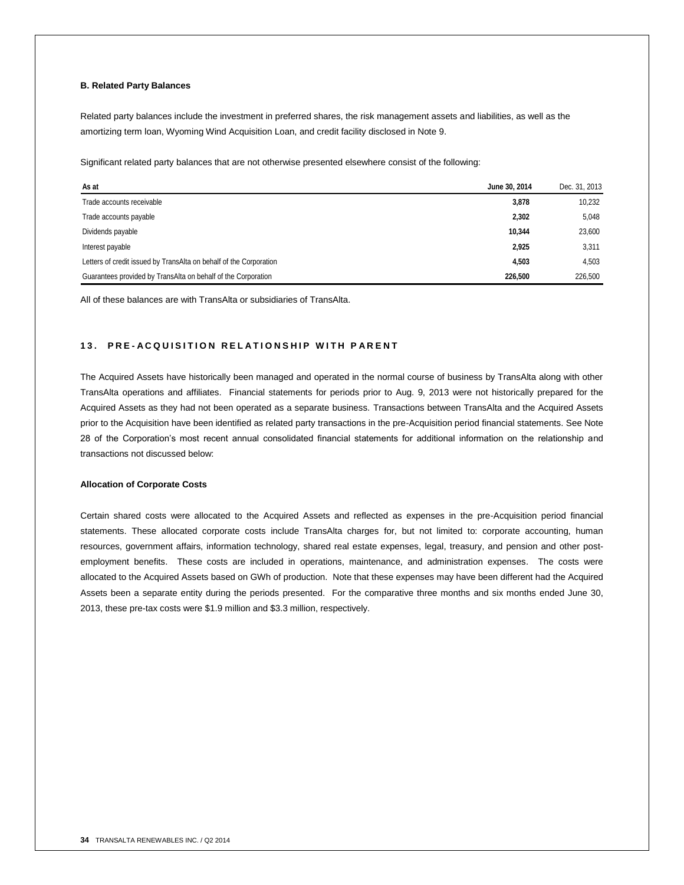# **B. Related Party Balances**

Related party balances include the investment in preferred shares, the risk management assets and liabilities, as well as the amortizing term loan, Wyoming Wind Acquisition Loan, and credit facility disclosed in Note 9.

Significant related party balances that are not otherwise presented elsewhere consist of the following:

| As at                                                              | June 30, 2014 | Dec. 31, 2013 |
|--------------------------------------------------------------------|---------------|---------------|
| Trade accounts receivable                                          | 3,878         | 10,232        |
| Trade accounts payable                                             | 2,302         | 5.048         |
| Dividends payable                                                  | 10.344        | 23,600        |
| Interest payable                                                   | 2,925         | 3,311         |
| Letters of credit issued by TransAlta on behalf of the Corporation | 4.503         | 4.503         |
| Guarantees provided by TransAlta on behalf of the Corporation      | 226,500       | 226,500       |

All of these balances are with TransAlta or subsidiaries of TransAlta.

# **1 3 . P R E - A C Q U I S I T I O N R E L A T I O N S H I P W I T H P A R E N T**

The Acquired Assets have historically been managed and operated in the normal course of business by TransAlta along with other TransAlta operations and affiliates. Financial statements for periods prior to Aug. 9, 2013 were not historically prepared for the Acquired Assets as they had not been operated as a separate business. Transactions between TransAlta and the Acquired Assets prior to the Acquisition have been identified as related party transactions in the pre-Acquisition period financial statements. See Note 28 of the Corporation's most recent annual consolidated financial statements for additional information on the relationship and transactions not discussed below:

# **Allocation of Corporate Costs**

Certain shared costs were allocated to the Acquired Assets and reflected as expenses in the pre-Acquisition period financial statements. These allocated corporate costs include TransAlta charges for, but not limited to: corporate accounting, human resources, government affairs, information technology, shared real estate expenses, legal, treasury, and pension and other postemployment benefits. These costs are included in operations, maintenance, and administration expenses. The costs were allocated to the Acquired Assets based on GWh of production. Note that these expenses may have been different had the Acquired Assets been a separate entity during the periods presented. For the comparative three months and six months ended June 30, 2013, these pre-tax costs were \$1.9 million and \$3.3 million, respectively.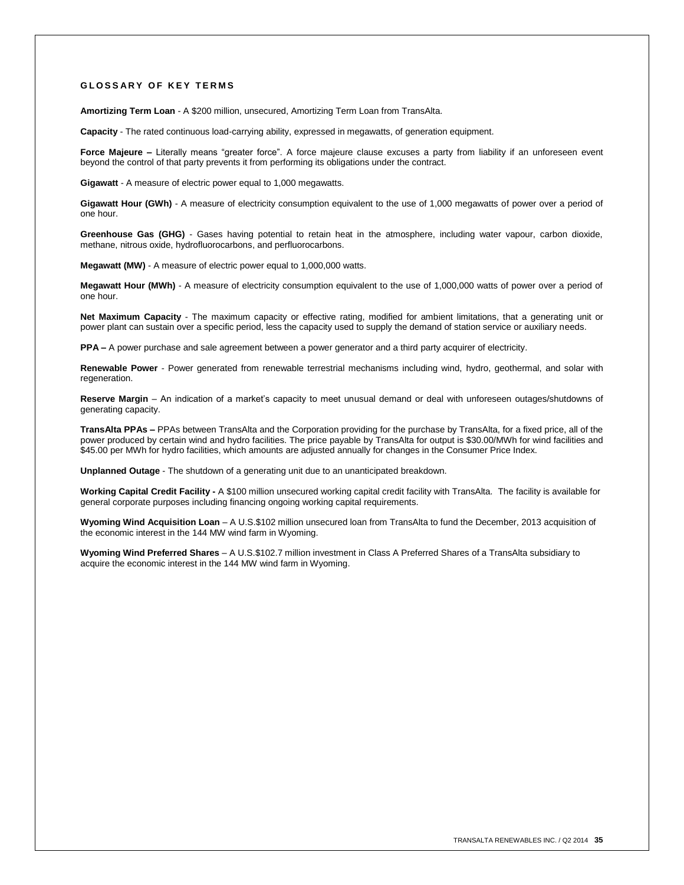#### **G L O S S A R Y O F K E Y T E R M S**

**Amortizing Term Loan** - A \$200 million, unsecured, Amortizing Term Loan from TransAlta.

**Capacity** - The rated continuous load-carrying ability, expressed in megawatts, of generation equipment.

Force Majeure – Literally means "greater force". A force majeure clause excuses a party from liability if an unforeseen event beyond the control of that party prevents it from performing its obligations under the contract.

**Gigawatt** - A measure of electric power equal to 1,000 megawatts.

**Gigawatt Hour (GWh)** - A measure of electricity consumption equivalent to the use of 1,000 megawatts of power over a period of one hour.

**Greenhouse Gas (GHG)** - Gases having potential to retain heat in the atmosphere, including water vapour, carbon dioxide, methane, nitrous oxide, hydrofluorocarbons, and perfluorocarbons.

**Megawatt (MW)** - A measure of electric power equal to 1,000,000 watts.

**Megawatt Hour (MWh)** - A measure of electricity consumption equivalent to the use of 1,000,000 watts of power over a period of one hour.

**Net Maximum Capacity** - The maximum capacity or effective rating, modified for ambient limitations, that a generating unit or power plant can sustain over a specific period, less the capacity used to supply the demand of station service or auxiliary needs.

**PPA –** A power purchase and sale agreement between a power generator and a third party acquirer of electricity.

**Renewable Power** - Power generated from renewable terrestrial mechanisms including wind, hydro, geothermal, and solar with regeneration

**Reserve Margin** – An indication of a market's capacity to meet unusual demand or deal with unforeseen outages/shutdowns of generating capacity.

**TransAlta PPAs –** PPAs between TransAlta and the Corporation providing for the purchase by TransAlta, for a fixed price, all of the power produced by certain wind and hydro facilities. The price payable by TransAlta for output is \$30.00/MWh for wind facilities and \$45.00 per MWh for hydro facilities, which amounts are adjusted annually for changes in the Consumer Price Index.

**Unplanned Outage** - The shutdown of a generating unit due to an unanticipated breakdown.

**Working Capital Credit Facility -** A \$100 million unsecured working capital credit facility with TransAlta. The facility is available for general corporate purposes including financing ongoing working capital requirements.

**Wyoming Wind Acquisition Loan** – A U.S.\$102 million unsecured loan from TransAlta to fund the December, 2013 acquisition of the economic interest in the 144 MW wind farm in Wyoming.

**Wyoming Wind Preferred Shares** – A U.S.\$102.7 million investment in Class A Preferred Shares of a TransAlta subsidiary to acquire the economic interest in the 144 MW wind farm in Wyoming.